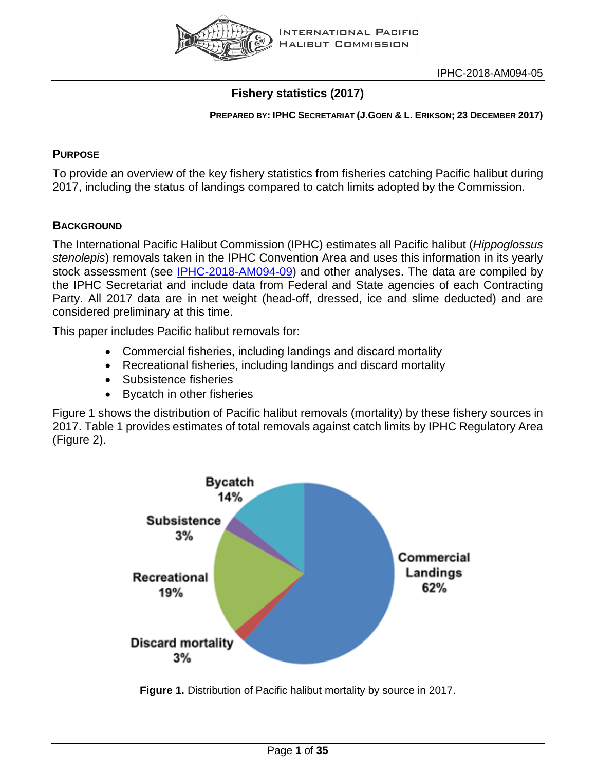

# **Fishery statistics (2017)**

### **PREPARED BY: IPHC SECRETARIAT (J.GOEN & L. ERIKSON; 23 DECEMBER 2017)**

# **PURPOSE**

To provide an overview of the key fishery statistics from fisheries catching Pacific halibut during 2017, including the status of landings compared to catch limits adopted by the Commission.

# **BACKGROUND**

The International Pacific Halibut Commission (IPHC) estimates all Pacific halibut (*Hippoglossus stenolepis*) removals taken in the IPHC Convention Area and uses this information in its yearly stock assessment (see [IPHC-2018-AM094-09\)](http://iphc.int/venues/details/94th-session-of-the-iphc-annual-meeting-am094) and other analyses. The data are compiled by the IPHC Secretariat and include data from Federal and State agencies of each Contracting Party. All 2017 data are in net weight (head-off, dressed, ice and slime deducted) and are considered preliminary at this time.

This paper includes Pacific halibut removals for:

- Commercial fisheries, including landings and discard mortality
- Recreational fisheries, including landings and discard mortality
- Subsistence fisheries
- Bycatch in other fisheries

Figure 1 shows the distribution of Pacific halibut removals (mortality) by these fishery sources in 2017. Table 1 provides estimates of total removals against catch limits by IPHC Regulatory Area (Figure 2).



**Figure 1.** Distribution of Pacific halibut mortality by source in 2017.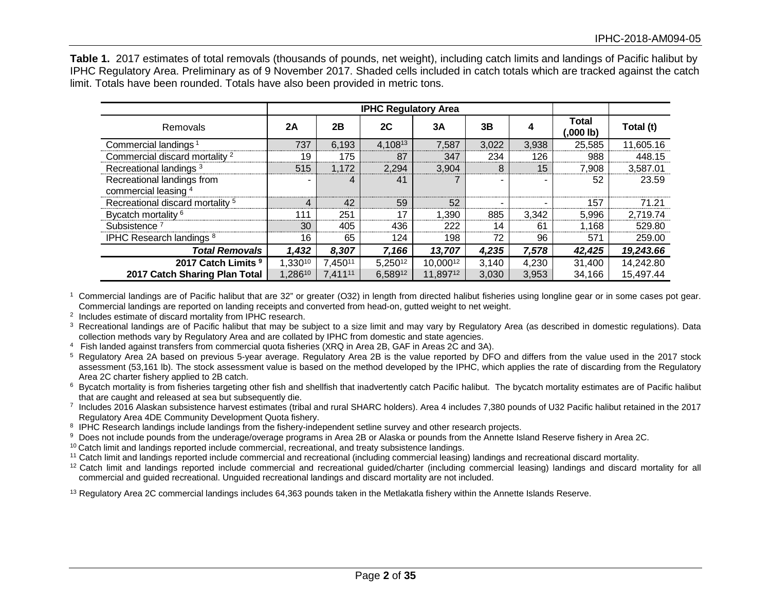**Table 1.** 2017 estimates of total removals (thousands of pounds, net weight), including catch limits and landings of Pacific halibut by IPHC Regulatory Area. Preliminary as of 9 November 2017. Shaded cells included in catch totals which are tracked against the catch limit. Totals have been rounded. Totals have also been provided in metric tons.

|                                                    |         |                     | <b>IPHC Regulatory Area</b> |          |       |       |                           |           |
|----------------------------------------------------|---------|---------------------|-----------------------------|----------|-------|-------|---------------------------|-----------|
| Removals                                           | 2A      | 2B                  | 2C                          | 3A       | 3B    |       | <b>Total</b><br>(,000 lb) | Total (t) |
| Commercial landings <sup>1</sup>                   | 737     | 6,193               | 4,10813                     | 7,587    | 3,022 | 3,938 | 25,585                    | 11,605.16 |
| Commercial discard mortality <sup>2</sup>          | 19      | 175                 | 87                          | 347      | 234   | 126   | 988                       | 448.15    |
| Recreational landings <sup>3</sup>                 | 515     | 1,172               | 2,294                       | 3,904    | 8     | 15    | 7,908                     | 3,587.01  |
| Recreational landings from<br>commercial leasing 4 |         | 4                   | 41                          |          |       |       | 52                        | 23.59     |
| Recreational discard mortality <sup>5</sup>        | 4       | 42                  | 59                          | 52       |       | -     | 157                       | 71.21     |
| Bycatch mortality <sup>6</sup>                     | 111     | 251                 | 17                          | .390 ا   | 885   | 3,342 | 5,996                     | 2,719.74  |
| Subsistence <sup>7</sup>                           | 30      | 405                 | 436                         | 222      | 14    | 61    | 1.168                     | 529.80    |
| IPHC Research landings 8                           | 16      | 65                  | 124                         | 198      | 72    | 96    | 571                       | 259.00    |
| <b>Total Removals</b>                              | 1,432   | 8,307               | 7,166                       | 13,707   | 4,235 | 7,578 | 42,425                    | 19,243.66 |
| 2017 Catch Limits 9                                | 1,33010 | 7,45011             | 5,25012                     | 10,00012 | 3,140 | 4,230 | 31,400                    | 14,242.80 |
| 2017 Catch Sharing Plan Total                      | 1,28610 | 7,411 <sup>11</sup> | 6,58912                     | 11,89712 | 3.030 | 3,953 | 34.166                    | 15,497.44 |

1 Commercial landings are of Pacific halibut that are 32" or greater (O32) in length from directed halibut fisheries using longline gear or in some cases pot gear. Commercial landings are reported on landing receipts and converted from head-on, gutted weight to net weight.

<sup>2</sup> Includes estimate of discard mortality from IPHC research.

<sup>3</sup> Recreational landings are of Pacific halibut that may be subject to a size limit and may vary by Regulatory Area (as described in domestic regulations). Data collection methods vary by Regulatory Area and are collated

<sup>4</sup> Fish landed against transfers from commercial quota fisheries (XRQ in Area 2B, GAF in Areas 2C and 3A).

<sup>5</sup> Regulatory Area 2A based on previous 5-year average. Regulatory Area 2B is the value reported by DFO and differs from the value used in the 2017 stock assessment (53,161 lb). The stock assessment value is based on the method developed by the IPHC, which applies the rate of discarding from the Regulatory Area 2C charter fishery applied to 2B catch.

<sup>6</sup> Bycatch mortality is from fisheries targeting other fish and shellfish that inadvertently catch Pacific halibut. The bycatch mortality estimates are of Pacific halibut that are caught and released at sea but subsequent

 $\frac{7}{1}$  Includes 2016 Alaskan subsistence harvest estimates (tribal and rural SHARC holders). Area 4 includes 7,380 pounds of U32 Pacific halibut retained in the 2017 Regulatory Area 4DE Community Development Quota fishery.

8 IPHC Research landings include landings from the fishery-independent setline survey and other research projects.

<sup>9</sup> Does not include pounds from the underage/overage programs in Area 2B or Alaska or pounds from the Annette Island Reserve fishery in Area 2C.

 $10$  Catch limit and landings reported include commercial, recreational, and treaty subsistence landings.

<sup>11</sup> Catch limit and landings reported include commercial and recreational (including commercial leasing) landings and recreational discard mortality.

<sup>12</sup> Catch limit and landings reported include commercial and recreational guided/charter (including commercial leasing) landings and discard mortality for all commercial and guided recreational. Unguided recreational landings and discard mortality are not included.

<sup>13</sup> Regulatory Area 2C commercial landings includes 64,363 pounds taken in the Metlakatla fishery within the Annette Islands Reserve.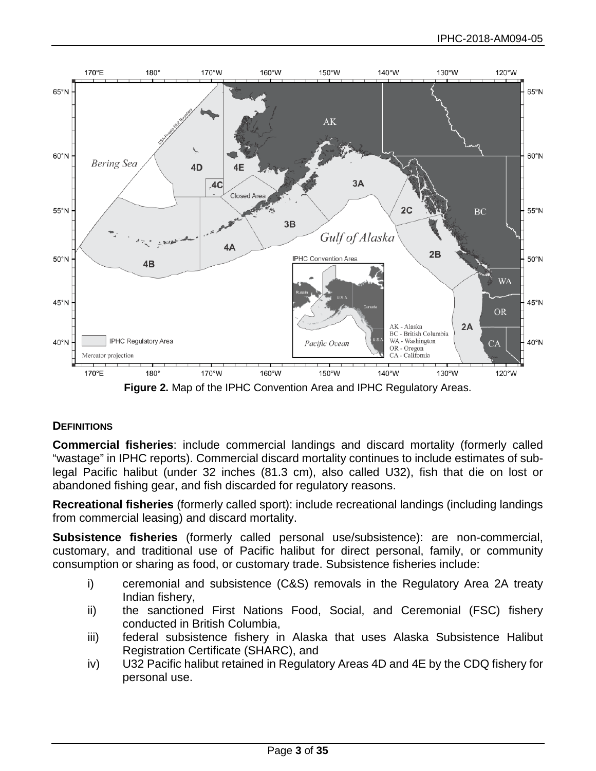

**Figure 2.** Map of the IPHC Convention Area and IPHC Regulatory Areas.

# **DEFINITIONS**

**Commercial fisheries**: include commercial landings and discard mortality (formerly called "wastage" in IPHC reports). Commercial discard mortality continues to include estimates of sublegal Pacific halibut (under 32 inches (81.3 cm), also called U32), fish that die on lost or abandoned fishing gear, and fish discarded for regulatory reasons.

**Recreational fisheries** (formerly called sport): include recreational landings (including landings from commercial leasing) and discard mortality.

**Subsistence fisheries** (formerly called personal use/subsistence): are non-commercial, customary, and traditional use of Pacific halibut for direct personal, family, or community consumption or sharing as food, or customary trade. Subsistence fisheries include:

- i) ceremonial and subsistence (C&S) removals in the Regulatory Area 2A treaty Indian fishery,
- ii) the sanctioned First Nations Food, Social, and Ceremonial (FSC) fishery conducted in British Columbia,
- iii) federal subsistence fishery in Alaska that uses Alaska Subsistence Halibut Registration Certificate (SHARC), and
- iv) U32 Pacific halibut retained in Regulatory Areas 4D and 4E by the CDQ fishery for personal use.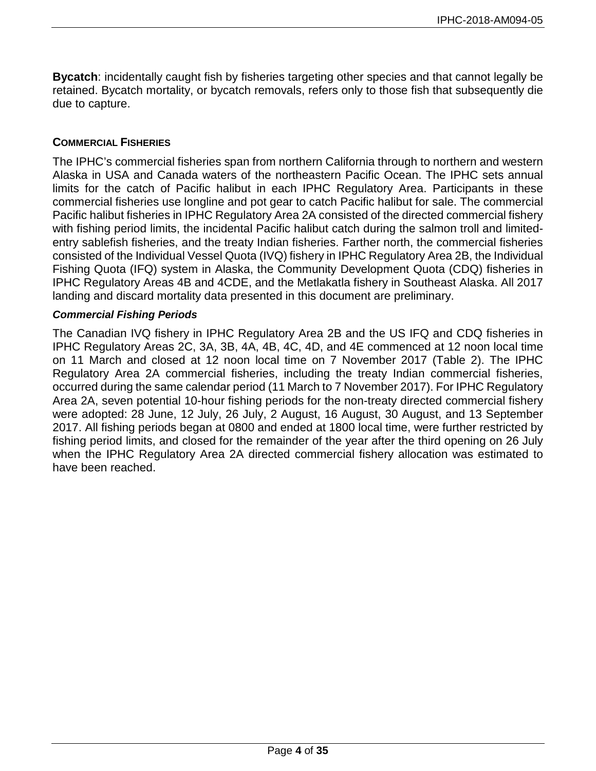**Bycatch**: incidentally caught fish by fisheries targeting other species and that cannot legally be retained. Bycatch mortality, or bycatch removals, refers only to those fish that subsequently die due to capture.

### **COMMERCIAL FISHERIES**

The IPHC's commercial fisheries span from northern California through to northern and western Alaska in USA and Canada waters of the northeastern Pacific Ocean. The IPHC sets annual limits for the catch of Pacific halibut in each IPHC Regulatory Area. Participants in these commercial fisheries use longline and pot gear to catch Pacific halibut for sale. The commercial Pacific halibut fisheries in IPHC Regulatory Area 2A consisted of the directed commercial fishery with fishing period limits, the incidental Pacific halibut catch during the salmon troll and limitedentry sablefish fisheries, and the treaty Indian fisheries. Farther north, the commercial fisheries consisted of the Individual Vessel Quota (IVQ) fishery in IPHC Regulatory Area 2B, the Individual Fishing Quota (IFQ) system in Alaska, the Community Development Quota (CDQ) fisheries in IPHC Regulatory Areas 4B and 4CDE, and the Metlakatla fishery in Southeast Alaska. All 2017 landing and discard mortality data presented in this document are preliminary.

#### *Commercial Fishing Periods*

The Canadian IVQ fishery in IPHC Regulatory Area 2B and the US IFQ and CDQ fisheries in IPHC Regulatory Areas 2C, 3A, 3B, 4A, 4B, 4C, 4D, and 4E commenced at 12 noon local time on 11 March and closed at 12 noon local time on 7 November 2017 (Table 2). The IPHC Regulatory Area 2A commercial fisheries, including the treaty Indian commercial fisheries, occurred during the same calendar period (11 March to 7 November 2017). For IPHC Regulatory Area 2A, seven potential 10-hour fishing periods for the non-treaty directed commercial fishery were adopted: 28 June, 12 July, 26 July, 2 August, 16 August, 30 August, and 13 September 2017. All fishing periods began at 0800 and ended at 1800 local time, were further restricted by fishing period limits, and closed for the remainder of the year after the third opening on 26 July when the IPHC Regulatory Area 2A directed commercial fishery allocation was estimated to have been reached.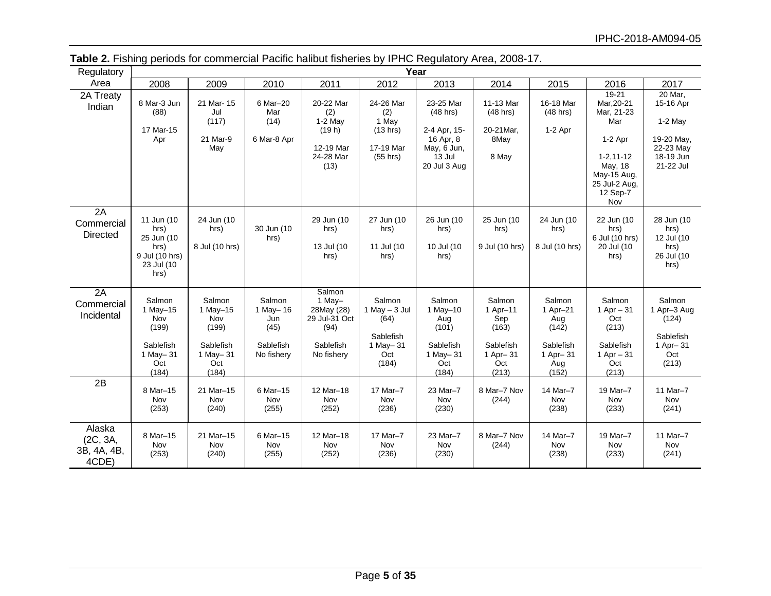| Regulatory                                 |                                                                                  |                                                                             |                                                              |                                                                                    |                                                                            | Year                                                                                          |                                                                             |                                                                             |                                                                                                                                         |                                                                                        |
|--------------------------------------------|----------------------------------------------------------------------------------|-----------------------------------------------------------------------------|--------------------------------------------------------------|------------------------------------------------------------------------------------|----------------------------------------------------------------------------|-----------------------------------------------------------------------------------------------|-----------------------------------------------------------------------------|-----------------------------------------------------------------------------|-----------------------------------------------------------------------------------------------------------------------------------------|----------------------------------------------------------------------------------------|
| Area                                       | 2008                                                                             | 2009                                                                        | 2010                                                         | 2011                                                                               | 2012                                                                       | 2013                                                                                          | 2014                                                                        | 2015                                                                        | 2016                                                                                                                                    | 2017                                                                                   |
| 2A Treaty<br>Indian                        | 8 Mar-3 Jun<br>(88)<br>17 Mar-15<br>Apr                                          | 21 Mar-15<br>Jul<br>(117)<br>21 Mar-9<br>May                                | 6 Mar-20<br>Mar<br>(14)<br>6 Mar-8 Apr                       | 20-22 Mar<br>(2)<br>$1-2$ May<br>(19 h)<br>12-19 Mar<br>24-28 Mar<br>(13)          | 24-26 Mar<br>(2)<br>1 May<br>(13 hrs)<br>17-19 Mar<br>(55 hrs)             | 23-25 Mar<br>$(48$ hrs)<br>2-4 Apr, 15-<br>16 Apr, 8<br>May, 6 Jun,<br>13 Jul<br>20 Jul 3 Aug | 11-13 Mar<br>$(48$ hrs)<br>20-21Mar,<br>8May<br>8 May                       | 16-18 Mar<br>$(48$ hrs)<br>$1-2$ Apr                                        | 19-21<br>Mar, 20-21<br>Mar, 21-23<br>Mar<br>$1-2$ Apr<br>$1 - 2, 11 - 12$<br>May, 18<br>May-15 Aug,<br>25 Jul-2 Aug,<br>12 Sep-7<br>Nov | 20 Mar.<br>15-16 Apr<br>$1-2$ May<br>19-20 May,<br>22-23 May<br>18-19 Jun<br>21-22 Jul |
| 2A<br>Commercial<br><b>Directed</b>        | 11 Jun (10<br>hrs)<br>25 Jun (10<br>hrs)<br>9 Jul (10 hrs)<br>23 Jul (10<br>hrs) | 24 Jun (10<br>hrs)<br>8 Jul (10 hrs)                                        | 30 Jun (10<br>hrs)                                           | 29 Jun (10<br>hrs)<br>13 Jul (10<br>hrs)                                           | 27 Jun (10<br>hrs)<br>11 Jul (10<br>hrs)                                   | 26 Jun (10<br>hrs)<br>10 Jul (10<br>hrs)                                                      | 25 Jun (10<br>hrs)<br>9 Jul (10 hrs)                                        | 24 Jun (10<br>hrs)<br>8 Jul (10 hrs)                                        | 22 Jun (10<br>hrs)<br>6 Jul (10 hrs)<br>20 Jul (10<br>hrs)                                                                              | 28 Jun (10<br>hrs)<br>12 Jul (10<br>hrs)<br>26 Jul (10<br>hrs)                         |
| 2A<br>Commercial<br>Incidental             | Salmon<br>1 May-15<br>Nov<br>(199)<br>Sablefish<br>1 May - 31<br>Oct<br>(184)    | Salmon<br>1 May-15<br>Nov<br>(199)<br>Sablefish<br>1 May-31<br>Oct<br>(184) | Salmon<br>1 May-16<br>Jun<br>(45)<br>Sablefish<br>No fishery | Salmon<br>1 May-<br>28May (28)<br>29 Jul-31 Oct<br>(94)<br>Sablefish<br>No fishery | Salmon<br>1 May $-$ 3 Jul<br>(64)<br>Sablefish<br>1 May-31<br>Oct<br>(184) | Salmon<br>1 May-10<br>Aug<br>(101)<br>Sablefish<br>1 May-31<br>Oct<br>(184)                   | Salmon<br>1 Apr-11<br>Sep<br>(163)<br>Sablefish<br>1 Apr-31<br>Oct<br>(213) | Salmon<br>1 Apr-21<br>Aug<br>(142)<br>Sablefish<br>1 Apr-31<br>Aug<br>(152) | Salmon<br>1 Apr $-31$<br>Oct<br>(213)<br>Sablefish<br>1 Apr $-31$<br>Oct<br>(213)                                                       | Salmon<br>1 Apr-3 Aug<br>(124)<br>Sablefish<br>1 Apr-31<br>Oct<br>(213)                |
| 2B                                         | 8 Mar-15<br>Nov<br>(253)                                                         | 21 Mar-15<br>Nov<br>(240)                                                   | 6 Mar-15<br>Nov<br>(255)                                     | 12 Mar-18<br>Nov<br>(252)                                                          | 17 Mar-7<br>Nov<br>(236)                                                   | 23 Mar-7<br>Nov<br>(230)                                                                      | 8 Mar-7 Nov<br>(244)                                                        | 14 Mar-7<br>Nov<br>(238)                                                    | 19 Mar-7<br>Nov<br>(233)                                                                                                                | 11 Mar-7<br>Nov<br>(241)                                                               |
| Alaska<br>(2C, 3A,<br>3B, 4A, 4B,<br>4CDE) | 8 Mar-15<br>Nov<br>(253)                                                         | 21 Mar-15<br>Nov<br>(240)                                                   | 6 Mar-15<br>Nov<br>(255)                                     | 12 Mar-18<br>Nov<br>(252)                                                          | 17 Mar-7<br>Nov<br>(236)                                                   | 23 Mar-7<br>Nov<br>(230)                                                                      | 8 Mar-7 Nov<br>(244)                                                        | 14 Mar-7<br>Nov<br>(238)                                                    | 19 Mar-7<br>Nov<br>(233)                                                                                                                | 11 Mar-7<br>Nov<br>(241)                                                               |

**Table 2.** Fishing periods for commercial Pacific halibut fisheries by IPHC Regulatory Area, 2008-17.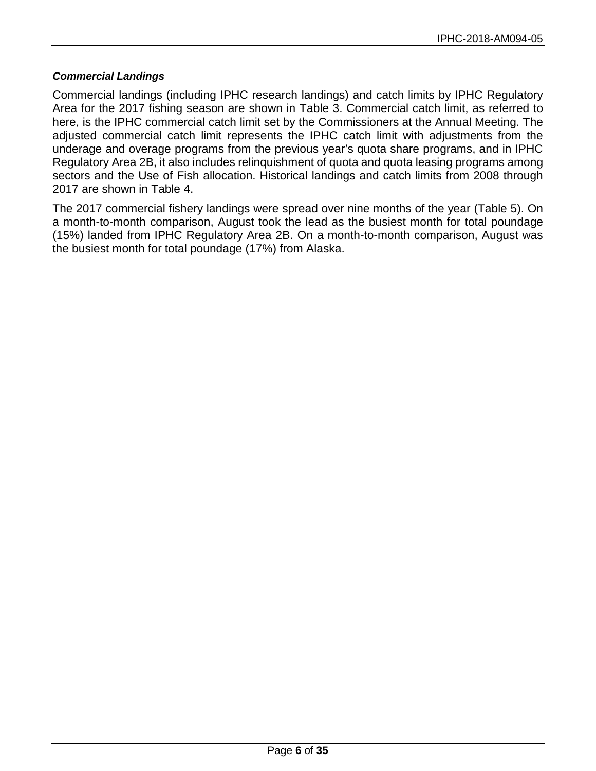#### *Commercial Landings*

Commercial landings (including IPHC research landings) and catch limits by IPHC Regulatory Area for the 2017 fishing season are shown in Table 3. Commercial catch limit, as referred to here, is the IPHC commercial catch limit set by the Commissioners at the Annual Meeting. The adjusted commercial catch limit represents the IPHC catch limit with adjustments from the underage and overage programs from the previous year's quota share programs, and in IPHC Regulatory Area 2B, it also includes relinquishment of quota and quota leasing programs among sectors and the Use of Fish allocation. Historical landings and catch limits from 2008 through 2017 are shown in Table 4.

The 2017 commercial fishery landings were spread over nine months of the year (Table 5). On a month-to-month comparison, August took the lead as the busiest month for total poundage (15%) landed from IPHC Regulatory Area 2B. On a month-to-month comparison, August was the busiest month for total poundage (17%) from Alaska.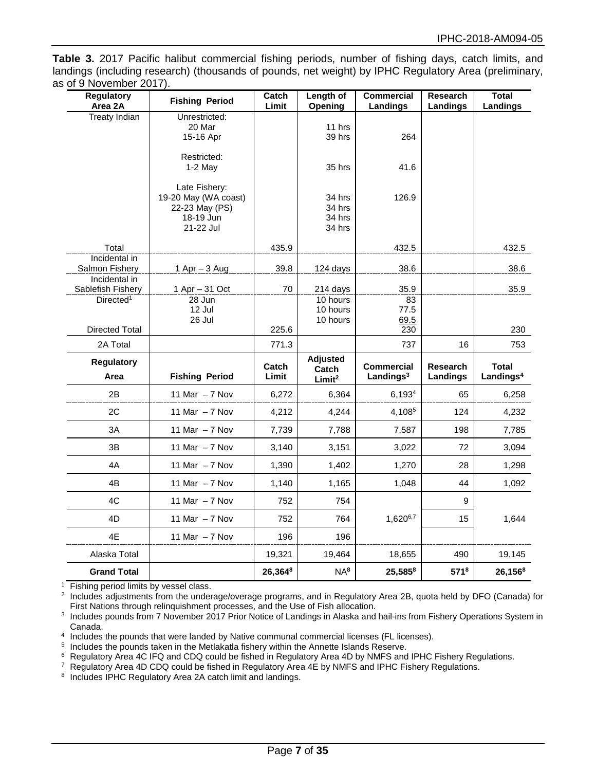**Table 3.** 2017 Pacific halibut commercial fishing periods, number of fishing days, catch limits, and landings (including research) (thousands of pounds, net weight) by IPHC Regulatory Area (preliminary, as of 9 November 2017).

| <b>Regulatory</b><br>Area 2A    | <b>Fishing Period</b>       | Catch<br>Limit | Length of<br>Opening     | <b>Commercial</b><br>Landings     | <b>Research</b><br>Landings | <b>Total</b><br><b>Landings</b>       |
|---------------------------------|-----------------------------|----------------|--------------------------|-----------------------------------|-----------------------------|---------------------------------------|
| <b>Treaty Indian</b>            | Unrestricted:               |                |                          |                                   |                             |                                       |
|                                 | 20 Mar<br>15-16 Apr         |                | 11 hrs<br>39 hrs         | 264                               |                             |                                       |
|                                 | Restricted:                 |                |                          |                                   |                             |                                       |
|                                 | $1-2$ May                   |                | 35 hrs                   | 41.6                              |                             |                                       |
|                                 | Late Fishery:               |                |                          |                                   |                             |                                       |
|                                 | 19-20 May (WA coast)        |                | 34 hrs                   | 126.9                             |                             |                                       |
|                                 | 22-23 May (PS)<br>18-19 Jun |                | 34 hrs<br>34 hrs         |                                   |                             |                                       |
|                                 | 21-22 Jul                   |                | 34 hrs                   |                                   |                             |                                       |
| Total                           |                             | 435.9          |                          | 432.5                             |                             | 432.5                                 |
| Incidental in<br>Salmon Fishery |                             | 39.8           | 124 days                 | 38.6                              |                             | 38.6                                  |
| Incidental in                   | 1 Apr $-$ 3 Aug             |                |                          |                                   |                             |                                       |
| Sablefish Fishery               | $1$ Apr $-$ 31 Oct          | 70             | 214 days                 | 35.9                              |                             | 35.9                                  |
| Directed <sup>1</sup>           | 28 Jun<br>12 Jul            |                | 10 hours<br>10 hours     | 83<br>77.5                        |                             |                                       |
|                                 | 26 Jul                      |                | 10 hours                 | 69.5                              |                             |                                       |
| <b>Directed Total</b>           |                             | 225.6          |                          | 230                               |                             | 230                                   |
| 2A Total                        |                             | 771.3          |                          | 737                               | 16                          | 753                                   |
| <b>Regulatory</b><br>Area       | <b>Fishing Period</b>       | Catch<br>Limit | <b>Adjusted</b><br>Catch | <b>Commercial</b><br>Landings $3$ | <b>Research</b><br>Landings | <b>Total</b><br>Landings <sup>4</sup> |
|                                 |                             |                | Limit <sup>2</sup>       |                                   |                             |                                       |
| 2B                              | 11 Mar $-7$ Nov             | 6,272          | 6,364                    | 6,1934                            | 65                          | 6,258                                 |
| 2C                              | 11 Mar $-7$ Nov             | 4,212          | 4,244                    | 4,1085                            | 124                         | 4,232                                 |
| 3A                              | 11 Mar $-7$ Nov             | 7,739          | 7,788                    | 7,587                             | 198                         | 7,785                                 |
| 3B                              | 11 Mar $-7$ Nov             | 3,140          | 3,151                    | 3,022                             | 72                          | 3,094                                 |
| 4A                              | 11 Mar $-7$ Nov             | 1,390          | 1,402                    | 1,270                             | 28                          | 1,298                                 |
| 4B                              | 11 Mar $-7$ Nov             | 1,140          | 1,165                    | 1,048                             | 44                          | 1,092                                 |
| 4C                              | 11 Mar $-7$ Nov             | 752            | 754                      |                                   | 9                           |                                       |
| 4D                              | 11 Mar $-7$ Nov             | 752            | 764                      | 1,6206,7                          | 15                          | 1,644                                 |
| 4E                              | 11 Mar $-7$ Nov             | 196            | 196                      |                                   |                             |                                       |
| Alaska Total                    |                             | 19,321         | 19,464                   | 18,655                            | 490                         | 19,145                                |
| <b>Grand Total</b>              |                             | 26,3648        | NA <sup>8</sup>          | 25,5858                           | $571^8$                     | 26,1568                               |

<sup>1</sup> Fishing period limits by vessel class.

<sup>2</sup> Includes adjustments from the underage/overage programs, and in Regulatory Area 2B, quota held by DFO (Canada) for First Nations through relinquishment processes, and the Use of Fish allocation.

<sup>3</sup> Includes pounds from 7 November 2017 Prior Notice of Landings in Alaska and hail-ins from Fishery Operations System in Canada.

4 Includes the pounds that were landed by Native communal commercial licenses (FL licenses).

<sup>5</sup> Includes the pounds taken in the Metlakatla fishery within the Annette Islands Reserve.

<sup>6</sup> Regulatory Area 4C IFQ and CDQ could be fished in Regulatory Area 4D by NMFS and IPHC Fishery Regulations.

<sup>7</sup> Regulatory Area 4D CDQ could be fished in Regulatory Area 4E by NMFS and IPHC Fishery Regulations.

<sup>8</sup> Includes IPHC Regulatory Area 2A catch limit and landings.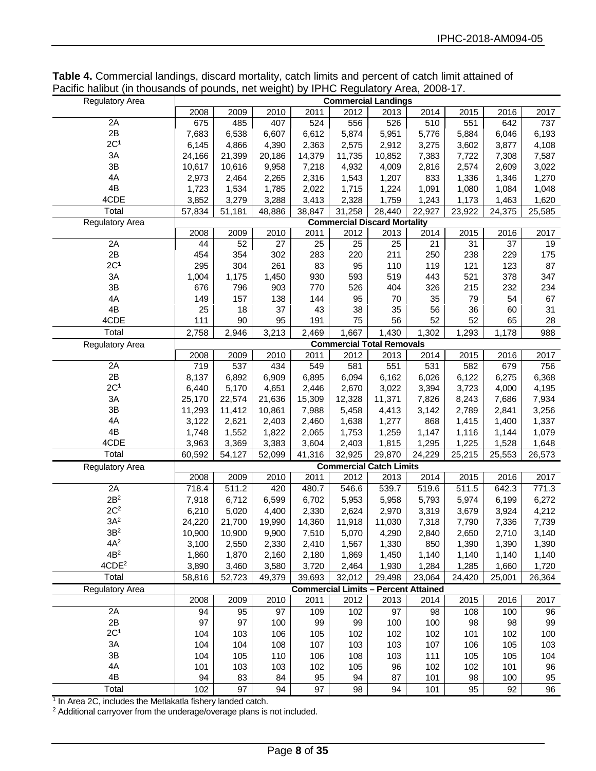**Table 4.** Commercial landings, discard mortality, catch limits and percent of catch limit attained of Pacific halibut (in thousands of pounds, net weight) by IPHC Regulatory Area, 2008-17.

| <b>Regulatory Area</b> |        |        |        |        | <b>Commercial Landings</b>                  |        |        |        |        |        |
|------------------------|--------|--------|--------|--------|---------------------------------------------|--------|--------|--------|--------|--------|
|                        | 2008   | 2009   | 2010   | 2011   | 2012                                        | 2013   | 2014   | 2015   | 2016   | 2017   |
| 2A                     | 675    | 485    | 407    | 524    | 556                                         | 526    | 510    | 551    | 642    | 737    |
| 2B                     | 7,683  | 6,538  | 6,607  | 6,612  | 5,874                                       | 5,951  | 5,776  | 5,884  | 6,046  | 6,193  |
| 2C <sup>1</sup>        | 6,145  | 4,866  | 4,390  | 2,363  | 2,575                                       | 2,912  | 3,275  | 3,602  | 3,877  | 4,108  |
| 3A                     | 24,166 | 21,399 | 20,186 | 14,379 | 11,735                                      | 10,852 | 7,383  | 7,722  | 7,308  | 7,587  |
| $3\mathsf{B}$          | 10,617 | 10,616 | 9,958  | 7,218  | 4,932                                       | 4,009  | 2,816  | 2,574  | 2,609  | 3,022  |
| 4A                     | 2,973  | 2,464  | 2,265  | 2,316  | 1,543                                       | 1,207  | 833    | 1,336  | 1,346  | 1,270  |
| 4B                     | 1,723  | 1,534  | 1,785  | 2,022  | 1,715                                       | 1,224  | 1,091  | 1,080  | 1,084  | 1,048  |
| 4CDE                   | 3,852  | 3,279  | 3,288  | 3,413  | 2,328                                       | 1,759  | 1,243  | 1,173  | 1,463  | 1,620  |
| Total                  | 57,834 | 51,181 | 48,886 | 38,847 | 31,258                                      | 28,440 | 22,927 | 23,922 | 24,375 | 25,585 |
| <b>Regulatory Area</b> |        |        |        |        | <b>Commercial Discard Mortality</b>         |        |        |        |        |        |
|                        | 2008   | 2009   | 2010   | 2011   | 2012                                        | 2013   | 2014   | 2015   | 2016   | 2017   |
| 2A                     | 44     | 52     | 27     | 25     | 25                                          | 25     | 21     | 31     | 37     | 19     |
| 2B                     | 454    | 354    | 302    | 283    | 220                                         | 211    | 250    | 238    | 229    | 175    |
| 2C <sup>1</sup>        | 295    | 304    | 261    | 83     | 95                                          | 110    | 119    | 121    | 123    | 87     |
| 3A                     | 1,004  | 1,175  | 1,450  | 930    | 593                                         | 519    | 443    | 521    | 378    | 347    |
| $3\mathsf{B}$          | 676    | 796    | 903    | 770    | 526                                         | 404    | 326    | 215    | 232    | 234    |
| 4A                     | 149    | 157    | 138    | 144    | 95                                          | 70     | 35     | 79     | 54     | 67     |
| 4B                     | 25     | 18     | 37     | 43     | 38                                          | 35     | 56     | 36     | 60     | 31     |
| 4CDE                   | 111    | 90     | 95     | 191    | 75                                          | 56     | 52     | 52     | 65     | 28     |
| Total                  | 2,758  | 2,946  | 3,213  | 2,469  | 1,667                                       | 1,430  | 1,302  | 1,293  | 1,178  | 988    |
| <b>Regulatory Area</b> |        |        |        |        | <b>Commercial Total Removals</b>            |        |        |        |        |        |
|                        | 2008   | 2009   | 2010   | 2011   | 2012                                        | 2013   | 2014   | 2015   | 2016   | 2017   |
| 2A                     | 719    | 537    | 434    | 549    | 581                                         | 551    | 531    | 582    | 679    | 756    |
| 2B                     | 8,137  | 6,892  | 6,909  | 6,895  | 6,094                                       | 6,162  | 6,026  | 6,122  | 6,275  | 6,368  |
| 2C <sup>1</sup>        | 6,440  | 5,170  | 4,651  | 2,446  | 2,670                                       | 3,022  | 3,394  | 3,723  | 4,000  | 4,195  |
| $3A$                   | 25,170 | 22,574 | 21,636 | 15,309 | 12,328                                      | 11,371 | 7,826  | 8,243  | 7,686  | 7,934  |
| $3\mathsf{B}$          | 11,293 | 11,412 | 10,861 | 7,988  | 5,458                                       | 4,413  | 3,142  | 2,789  | 2,841  | 3,256  |
| 4A                     | 3,122  | 2,621  | 2,403  | 2,460  | 1,638                                       | 1,277  | 868    | 1,415  | 1,400  | 1,337  |
| 4B                     | 1,748  | 1,552  | 1,822  | 2,065  | 1,753                                       | 1,259  | 1,147  | 1,116  | 1,144  | 1,079  |
| 4CDE                   | 3,963  | 3,369  | 3,383  | 3,604  | 2,403                                       | 1,815  | 1,295  | 1,225  | 1,528  | 1,648  |
| Total                  | 60,592 | 54,127 | 52,099 | 41,316 | 32,925                                      | 29,870 | 24,229 | 25,215 | 25,553 | 26,573 |
| Regulatory Area        |        |        |        |        | <b>Commercial Catch Limits</b>              |        |        |        |        |        |
|                        | 2008   | 2009   | 2010   | 2011   | 2012                                        | 2013   | 2014   | 2015   | 2016   | 2017   |
| 2A                     | 718.4  | 511.2  | 420    | 480.7  | 546.6                                       | 539.7  | 519.6  | 511.5  | 642.3  | 771.3  |
| 2B <sup>2</sup>        | 7,918  | 6,712  | 6,599  | 6,702  | 5,953                                       | 5,958  | 5,793  | 5,974  | 6,199  | 6,272  |
| 2C <sup>2</sup>        | 6,210  | 5,020  | 4,400  | 2,330  | 2,624                                       | 2,970  | 3,319  | 3,679  | 3,924  | 4,212  |
| 3A <sup>2</sup>        | 24,220 | 21,700 | 19,990 | 14,360 | 11,918                                      | 11,030 | 7,318  | 7,790  | 7,336  | 7,739  |
| $3\mathsf{B}^2$        | 10,900 | 10,900 | 9,900  | 7,510  | 5,070                                       | 4,290  | 2,840  | 2,650  | 2,710  | 3,140  |
| $4A^2$                 | 3,100  | 2,550  | 2,330  | 2,410  | 1,567                                       | 1,330  | 850    | 1,390  | 1,390  | 1,390  |
| 4B <sup>2</sup>        | 1,860  | 1,870  | 2,160  | 2,180  | 1,869                                       | 1,450  | 1,140  | 1,140  | 1,140  | 1,140  |
| 4CDE <sup>2</sup>      | 3,890  | 3,460  | 3,580  | 3,720  | 2,464                                       | 1,930  | 1,284  | 1,285  | 1,660  | 1,720  |
| Total                  | 58,816 | 52,723 | 49,379 | 39,693 | 32,012                                      | 29,498 | 23,064 | 24,420 | 25,001 | 26,364 |
| <b>Regulatory Area</b> |        |        |        |        | <b>Commercial Limits - Percent Attained</b> |        |        |        |        |        |
|                        | 2008   | 2009   | 2010   | 2011   | 2012                                        | 2013   | 2014   | 2015   | 2016   | 2017   |
| 2A                     | 94     | 95     | 97     | 109    | 102                                         | 97     | 98     | 108    | 100    | 96     |
| 2B                     | 97     | 97     | 100    | 99     | 99                                          | 100    | 100    | 98     | 98     | 99     |
| 2C <sup>1</sup>        | 104    | 103    | 106    | 105    | 102                                         | 102    | 102    | 101    | 102    | 100    |
| 3A                     | 104    | 104    | 108    | 107    | 103                                         | 103    | 107    | 106    | 105    | 103    |
| 3B                     | 104    | 105    | 110    | 106    | 108                                         | 103    | 111    | 105    | 105    | 104    |
| 4A                     | 101    | 103    | 103    | 102    | 105                                         | 96     | 102    | 102    | 101    | 96     |
| 4B                     | 94     | 83     | 84     | 95     | 94                                          | 87     | 101    | 98     | 100    | 95     |
| Total                  |        | 97     |        | 97     |                                             |        |        |        | 92     |        |
|                        | 102    |        | 94     |        | 98                                          | 94     | 101    | 95     |        | 96     |

<sup>1</sup> In Area 2C, includes the Metlakatla fishery landed catch.

<sup>2</sup> Additional carryover from the underage/overage plans is not included.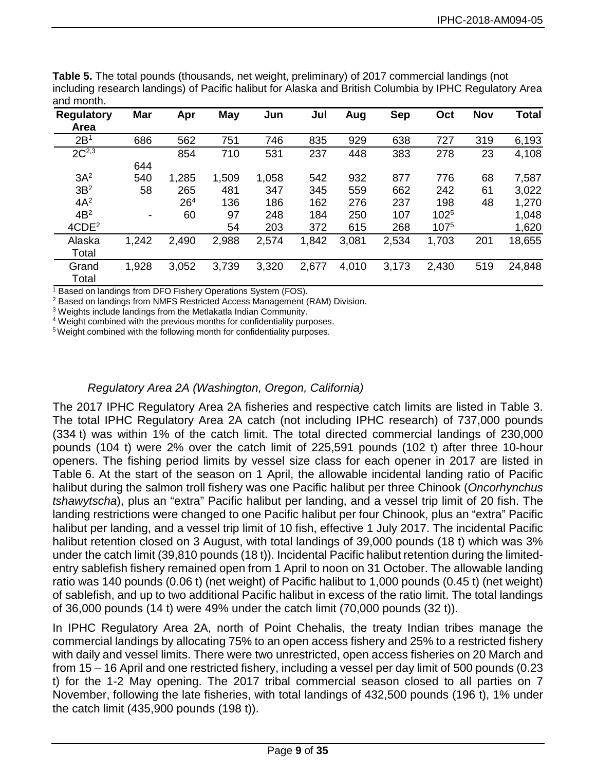| <b>Regulatory</b><br>Area | <b>Mar</b>               | Apr             | <b>May</b> | Jun   | Jul   | Aug   | <b>Sep</b> | Oct       | <b>Nov</b> | Total  |
|---------------------------|--------------------------|-----------------|------------|-------|-------|-------|------------|-----------|------------|--------|
| 2B <sup>1</sup>           | 686                      | 562             | 751        | 746   | 835   | 929   | 638        | 727       | 319        | 6,193  |
| $2C^{2,3}$                |                          | 854             | 710        | 531   | 237   | 448   | 383        | 278       | 23         | 4,108  |
|                           | 644                      |                 |            |       |       |       |            |           |            |        |
| 3A <sup>2</sup>           | 540                      | 1,285           | 1,509      | 1,058 | 542   | 932   | 877        | 776       | 68         | 7,587  |
| 3B <sup>2</sup>           | 58                       | 265             | 481        | 347   | 345   | 559   | 662        | 242       | 61         | 3,022  |
| $4A^2$                    |                          | 26 <sup>4</sup> | 136        | 186   | 162   | 276   | 237        | 198       | 48         | 1,270  |
| 4B <sup>2</sup>           | $\overline{\phantom{a}}$ | 60              | 97         | 248   | 184   | 250   | 107        | $102^{5}$ |            | 1,048  |
| 4CDE <sup>2</sup>         |                          |                 | 54         | 203   | 372   | 615   | 268        | 1075      |            | 1,620  |
| Alaska                    | 1,242                    | 2,490           | 2,988      | 2,574 | 1,842 | 3,081 | 2,534      | 1,703     | 201        | 18,655 |
| Total                     |                          |                 |            |       |       |       |            |           |            |        |
| Grand                     | 1,928                    | 3,052           | 3,739      | 3,320 | 2,677 | 4,010 | 3,173      | 2,430     | 519        | 24,848 |
| Total                     |                          |                 |            |       |       |       |            |           |            |        |

**Table 5.** The total pounds (thousands, net weight, preliminary) of 2017 commercial landings (not including research landings) of Pacific halibut for Alaska and British Columbia by IPHC Regulatory Area and month.

<sup>1</sup> Based on landings from DFO Fishery Operations System (FOS).

<sup>2</sup> Based on landings from NMFS Restricted Access Management (RAM) Division.

<sup>3</sup> Weights include landings from the Metlakatla Indian Community.

<sup>4</sup> Weight combined with the previous months for confidentiality purposes.

5 Weight combined with the following month for confidentiality purposes.

### *Regulatory Area 2A (Washington, Oregon, California)*

The 2017 IPHC Regulatory Area 2A fisheries and respective catch limits are listed in Table 3. The total IPHC Regulatory Area 2A catch (not including IPHC research) of 737,000 pounds (334 t) was within 1% of the catch limit. The total directed commercial landings of 230,000 pounds (104 t) were 2% over the catch limit of 225,591 pounds (102 t) after three 10-hour openers. The fishing period limits by vessel size class for each opener in 2017 are listed in Table 6. At the start of the season on 1 April, the allowable incidental landing ratio of Pacific halibut during the salmon troll fishery was one Pacific halibut per three Chinook (*Oncorhynchus tshawytscha*), plus an "extra" Pacific halibut per landing, and a vessel trip limit of 20 fish. The landing restrictions were changed to one Pacific halibut per four Chinook, plus an "extra" Pacific halibut per landing, and a vessel trip limit of 10 fish, effective 1 July 2017. The incidental Pacific halibut retention closed on 3 August, with total landings of 39,000 pounds (18 t) which was 3% under the catch limit (39,810 pounds (18 t)). Incidental Pacific halibut retention during the limitedentry sablefish fishery remained open from 1 April to noon on 31 October. The allowable landing ratio was 140 pounds (0.06 t) (net weight) of Pacific halibut to 1,000 pounds (0.45 t) (net weight) of sablefish, and up to two additional Pacific halibut in excess of the ratio limit. The total landings of 36,000 pounds (14 t) were 49% under the catch limit (70,000 pounds (32 t)).

In IPHC Regulatory Area 2A, north of Point Chehalis, the treaty Indian tribes manage the commercial landings by allocating 75% to an open access fishery and 25% to a restricted fishery with daily and vessel limits. There were two unrestricted, open access fisheries on 20 March and from 15 – 16 April and one restricted fishery, including a vessel per day limit of 500 pounds (0.23 t) for the 1-2 May opening. The 2017 tribal commercial season closed to all parties on 7 November, following the late fisheries, with total landings of 432,500 pounds (196 t), 1% under the catch limit (435,900 pounds (198 t)).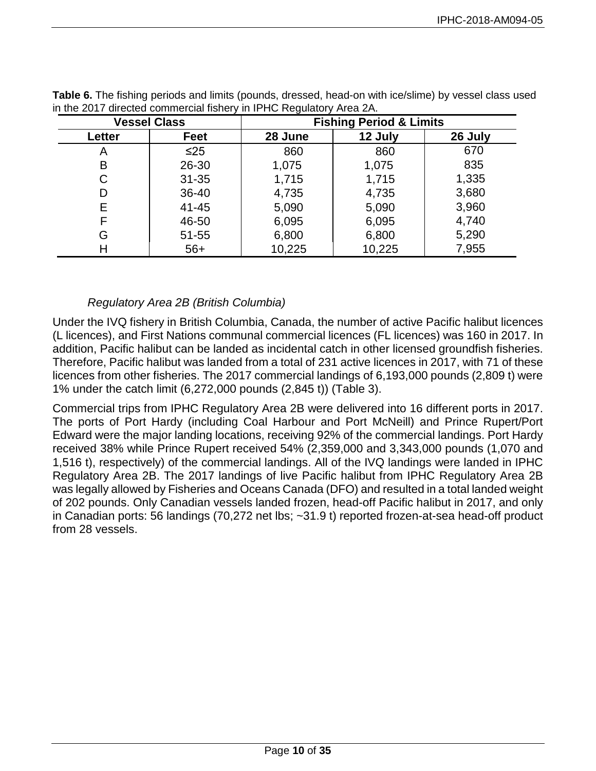|        | <b>Vessel Class</b> |         | <b>Fishing Period &amp; Limits</b> |         |
|--------|---------------------|---------|------------------------------------|---------|
| Letter | Feet                | 28 June | 12 July                            | 26 July |
| A      | $\leq$ 25           | 860     | 860                                | 670     |
| В      | 26-30               | 1,075   | 1,075                              | 835     |
| С      | $31 - 35$           | 1,715   | 1,715                              | 1,335   |
| D      | 36-40               | 4,735   | 4,735                              | 3,680   |
| Е      | $41 - 45$           | 5,090   | 5,090                              | 3,960   |
| F      | 46-50               | 6,095   | 6,095                              | 4,740   |
| G      | 51-55               | 6,800   | 6,800                              | 5,290   |
| н      | $56+$               | 10,225  | 10,225                             | 7,955   |

**Table 6.** The fishing periods and limits (pounds, dressed, head-on with ice/slime) by vessel class used in the 2017 directed commercial fishery in IPHC Regulatory Area 2A.

# *Regulatory Area 2B (British Columbia)*

Under the IVQ fishery in British Columbia, Canada, the number of active Pacific halibut licences (L licences), and First Nations communal commercial licences (FL licences) was 160 in 2017. In addition, Pacific halibut can be landed as incidental catch in other licensed groundfish fisheries. Therefore, Pacific halibut was landed from a total of 231 active licences in 2017, with 71 of these licences from other fisheries. The 2017 commercial landings of 6,193,000 pounds (2,809 t) were 1% under the catch limit (6,272,000 pounds (2,845 t)) (Table 3).

Commercial trips from IPHC Regulatory Area 2B were delivered into 16 different ports in 2017. The ports of Port Hardy (including Coal Harbour and Port McNeill) and Prince Rupert/Port Edward were the major landing locations, receiving 92% of the commercial landings. Port Hardy received 38% while Prince Rupert received 54% (2,359,000 and 3,343,000 pounds (1,070 and 1,516 t), respectively) of the commercial landings. All of the IVQ landings were landed in IPHC Regulatory Area 2B. The 2017 landings of live Pacific halibut from IPHC Regulatory Area 2B was legally allowed by Fisheries and Oceans Canada (DFO) and resulted in a total landed weight of 202 pounds. Only Canadian vessels landed frozen, head-off Pacific halibut in 2017, and only in Canadian ports: 56 landings (70,272 net lbs; ~31.9 t) reported frozen-at-sea head-off product from 28 vessels.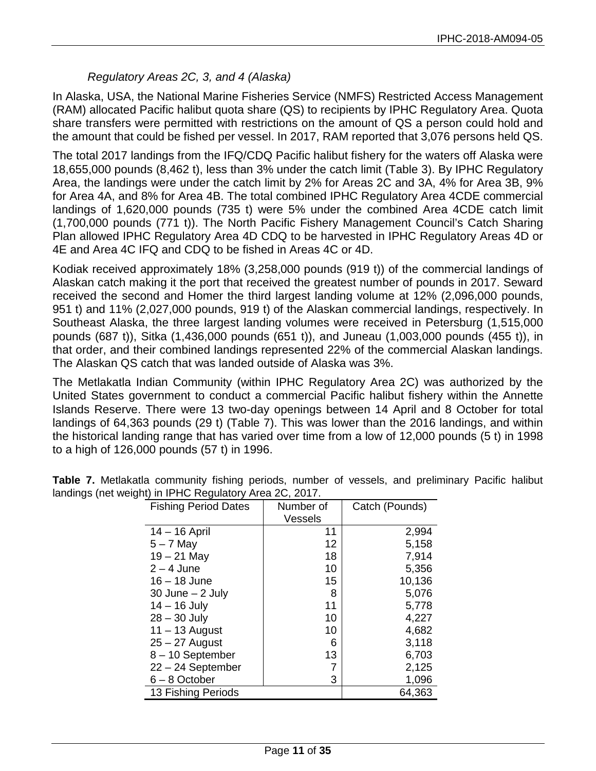## *Regulatory Areas 2C, 3, and 4 (Alaska)*

In Alaska, USA, the National Marine Fisheries Service (NMFS) Restricted Access Management (RAM) allocated Pacific halibut quota share (QS) to recipients by IPHC Regulatory Area. Quota share transfers were permitted with restrictions on the amount of QS a person could hold and the amount that could be fished per vessel. In 2017, RAM reported that 3,076 persons held QS.

The total 2017 landings from the IFQ/CDQ Pacific halibut fishery for the waters off Alaska were 18,655,000 pounds (8,462 t), less than 3% under the catch limit (Table 3). By IPHC Regulatory Area, the landings were under the catch limit by 2% for Areas 2C and 3A, 4% for Area 3B, 9% for Area 4A, and 8% for Area 4B. The total combined IPHC Regulatory Area 4CDE commercial landings of 1,620,000 pounds (735 t) were 5% under the combined Area 4CDE catch limit (1,700,000 pounds (771 t)). The North Pacific Fishery Management Council's Catch Sharing Plan allowed IPHC Regulatory Area 4D CDQ to be harvested in IPHC Regulatory Areas 4D or 4E and Area 4C IFQ and CDQ to be fished in Areas 4C or 4D.

Kodiak received approximately 18% (3,258,000 pounds (919 t)) of the commercial landings of Alaskan catch making it the port that received the greatest number of pounds in 2017. Seward received the second and Homer the third largest landing volume at 12% (2,096,000 pounds, 951 t) and 11% (2,027,000 pounds, 919 t) of the Alaskan commercial landings, respectively. In Southeast Alaska, the three largest landing volumes were received in Petersburg (1,515,000 pounds (687 t)), Sitka (1,436,000 pounds (651 t)), and Juneau (1,003,000 pounds (455 t)), in that order, and their combined landings represented 22% of the commercial Alaskan landings. The Alaskan QS catch that was landed outside of Alaska was 3%.

The Metlakatla Indian Community (within IPHC Regulatory Area 2C) was authorized by the United States government to conduct a commercial Pacific halibut fishery within the Annette Islands Reserve. There were 13 two-day openings between 14 April and 8 October for total landings of 64,363 pounds (29 t) (Table 7). This was lower than the 2016 landings, and within the historical landing range that has varied over time from a low of 12,000 pounds (5 t) in 1998 to a high of 126,000 pounds (57 t) in 1996.

| <b>Fishing Period Dates</b> | Number of<br>Vessels | Catch (Pounds) |
|-----------------------------|----------------------|----------------|
| 14 – 16 April               | 11                   | 2,994          |
| $5 - 7$ May                 | 12                   | 5,158          |
| $19 - 21$ May               | 18                   | 7,914          |
| $2 - 4$ June                | 10                   | 5,356          |
| $16 - 18$ June              | 15                   | 10,136         |
| $30$ June $-2$ July         | 8                    | 5,076          |
| $14 - 16$ July              | 11                   | 5,778          |
| $28 - 30$ July              | 10                   | 4,227          |
| $11 - 13$ August            | 10                   | 4,682          |
| $25 - 27$ August            | 6                    | 3,118          |
| 8-10 September              | 13                   | 6,703          |
| $22 - 24$ September         |                      | 2,125          |
| $6 - 8$ October             | 3                    | 1,096          |
| 13 Fishing Periods          |                      | 64,363         |

**Table 7.** Metlakatla community fishing periods, number of vessels, and preliminary Pacific halibut landings (net weight) in IPHC Regulatory Area 2C, 2017.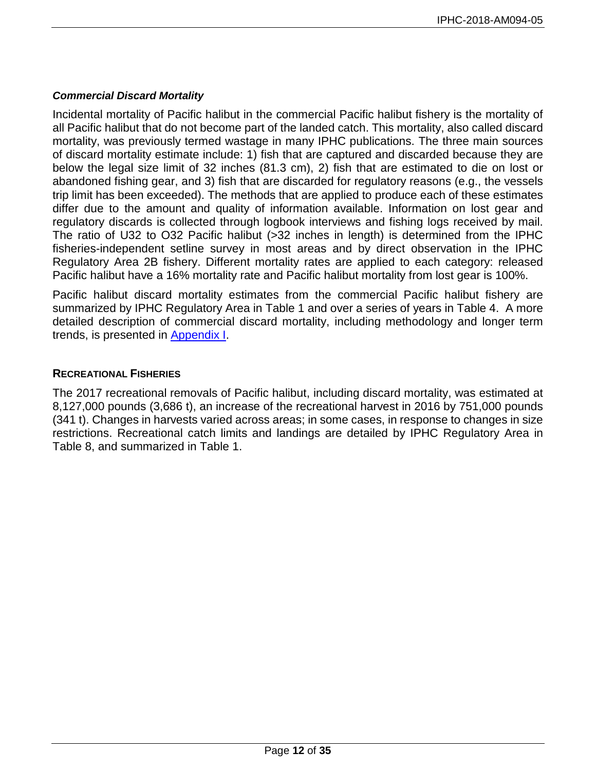### *Commercial Discard Mortality*

Incidental mortality of Pacific halibut in the commercial Pacific halibut fishery is the mortality of all Pacific halibut that do not become part of the landed catch. This mortality, also called discard mortality, was previously termed wastage in many IPHC publications. The three main sources of discard mortality estimate include: 1) fish that are captured and discarded because they are below the legal size limit of 32 inches (81.3 cm), 2) fish that are estimated to die on lost or abandoned fishing gear, and 3) fish that are discarded for regulatory reasons (e.g., the vessels trip limit has been exceeded). The methods that are applied to produce each of these estimates differ due to the amount and quality of information available. Information on lost gear and regulatory discards is collected through logbook interviews and fishing logs received by mail. The ratio of U32 to O32 Pacific halibut (>32 inches in length) is determined from the IPHC fisheries-independent setline survey in most areas and by direct observation in the IPHC Regulatory Area 2B fishery. Different mortality rates are applied to each category: released Pacific halibut have a 16% mortality rate and Pacific halibut mortality from lost gear is 100%.

Pacific halibut discard mortality estimates from the commercial Pacific halibut fishery are summarized by IPHC Regulatory Area in Table 1 and over a series of years in Table 4. A more detailed description of commercial discard mortality, including methodology and longer term trends, is presented in [Appendix I.](#page-24-0)

## **RECREATIONAL FISHERIES**

The 2017 recreational removals of Pacific halibut, including discard mortality, was estimated at 8,127,000 pounds (3,686 t), an increase of the recreational harvest in 2016 by 751,000 pounds (341 t). Changes in harvests varied across areas; in some cases, in response to changes in size restrictions. Recreational catch limits and landings are detailed by IPHC Regulatory Area in Table 8, and summarized in Table 1.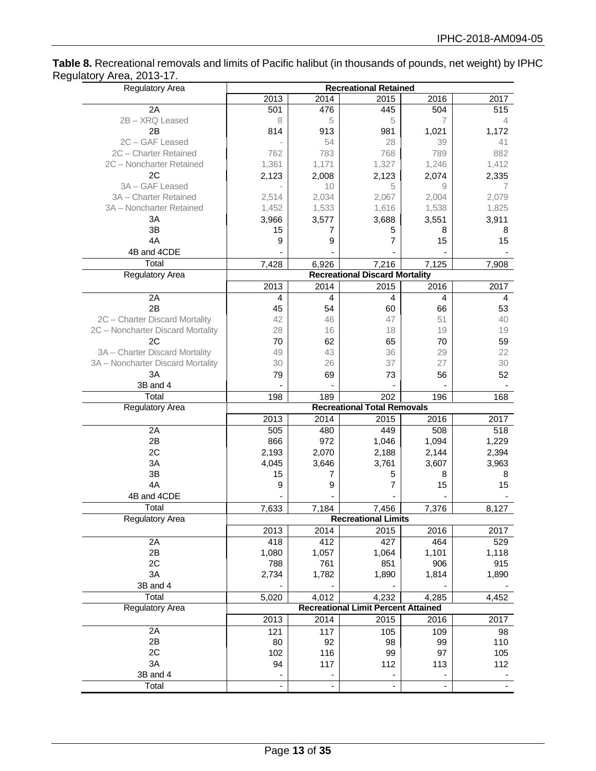**Table 8.** Recreational removals and limits of Pacific halibut (in thousands of pounds, net weight) by IPHC Regulatory Area, 2013-17.

| <b>Regulatory Area</b>            |                              |                          | <b>Recreational Retained</b>               |       |         |
|-----------------------------------|------------------------------|--------------------------|--------------------------------------------|-------|---------|
|                                   | 2013                         | 2014                     | 2015                                       | 2016  | 2017    |
| 2A                                | 501                          | 476                      | 445                                        | 504   | 515     |
| 2B - XRQ Leased                   | 8                            | 5                        | 5                                          | 7     | 4       |
| 2B                                | 814                          | 913                      | 981                                        | 1,021 | 1,172   |
| 2C-GAF Leased                     |                              | 54                       | 28                                         | 39    | 41      |
| 2C - Charter Retained             | 762                          | 783                      | 768                                        | 789   | 882     |
| 2C - Noncharter Retained          | 1,361                        | 1,171                    | 1,327                                      | 1,246 | 1,412   |
| 2C                                | 2,123                        | 2,008                    | 2,123                                      | 2,074 | 2,335   |
| 3A - GAF Leased                   |                              | 10                       | 5                                          | 9     | 7       |
| 3A - Charter Retained             | 2,514                        | 2,034                    | 2,067                                      | 2,004 | 2,079   |
| 3A - Noncharter Retained          | 1,452                        | 1,533                    | 1,616                                      | 1,538 | 1,825   |
| 3A                                | 3,966                        | 3,577                    | 3,688                                      | 3,551 | 3,911   |
| 3B                                | 15                           | 7                        | 5                                          | 8     | 8       |
| 4A                                | 9                            | 9                        | 7                                          | 15    | 15      |
| 4B and 4CDE                       |                              |                          |                                            |       |         |
| Total                             | 7,428                        | 6,926                    | 7,216                                      | 7,125 | 7,908   |
| <b>Regulatory Area</b>            |                              |                          | <b>Recreational Discard Mortality</b>      |       |         |
|                                   | 2013                         | 2014                     | 2015                                       | 2016  | 2017    |
| 2A                                | 4                            | 4                        | $\overline{4}$                             | 4     | 4       |
| 2B                                | 45                           | 54                       | 60                                         | 66    | 53      |
| 2C - Charter Discard Mortality    | 42                           | 46                       | 47                                         | 51    | 40      |
| 2C - Noncharter Discard Mortality | 28                           | 16                       | 18                                         | 19    | 19      |
| 2C                                | 70                           | 62                       | 65                                         | 70    | 59      |
| 3A - Charter Discard Mortality    | 49                           | 43                       | 36                                         | 29    | 22      |
| 3A - Noncharter Discard Mortality | 30                           | 26                       | 37                                         | 27    | 30      |
| 3A                                | 79                           | 69                       | 73                                         | 56    | 52      |
| 3B and 4                          |                              |                          |                                            |       |         |
| Total                             | 198                          | 189                      | 202                                        | 196   | 168     |
| Regulatory Area                   |                              |                          | <b>Recreational Total Removals</b>         |       |         |
|                                   | 2013                         | 2014                     | 2015                                       | 2016  | 2017    |
| 2A                                | 505                          | 480                      | 449                                        | 508   | 518     |
| 2B                                | 866                          | 972                      | 1,046                                      | 1,094 | 1,229   |
| 2C                                | 2,193                        | 2,070                    | 2,188                                      | 2,144 | 2,394   |
| 3A                                | 4,045                        | 3,646                    | 3,761                                      | 3,607 | 3,963   |
| 3B                                | 15                           | 7                        |                                            | 8     |         |
| 4A                                | 9                            | 9                        | 5<br>7                                     | 15    | 8<br>15 |
| 4B and 4CDE                       |                              |                          |                                            |       |         |
|                                   |                              |                          |                                            |       |         |
| Total                             | 7,633                        | 7,184                    | 7,456<br><b>Recreational Limits</b>        | 7,376 | 8,127   |
| Regulatory Area                   |                              |                          |                                            |       |         |
|                                   | 2013                         | 2014                     | 2015                                       | 2016  | 2017    |
| 2A                                | 418                          | 412                      | 427                                        | 464   | 529     |
| 2B                                | 1,080                        | 1,057                    | 1,064                                      | 1,101 | 1,118   |
| 2C                                | 788                          | 761                      | 851                                        | 906   | 915     |
| 3A                                | 2,734                        | 1,782                    | 1,890                                      | 1,814 | 1,890   |
| 3B and 4                          |                              |                          |                                            |       |         |
| Total                             | 5,020                        | 4,012                    | 4,232                                      | 4,285 | 4,452   |
| Regulatory Area                   |                              |                          | <b>Recreational Limit Percent Attained</b> |       |         |
|                                   | 2013                         | 2014                     | 2015                                       | 2016  | 2017    |
| 2A                                | 121                          | 117                      | 105                                        | 109   | 98      |
| 2B                                | 80                           | 92                       | 98                                         | 99    | 110     |
| 2C                                | 102                          | 116                      | 99                                         | 97    | 105     |
| 3A                                | 94                           | 117                      | 112                                        | 113   | 112     |
| 3B and 4                          |                              | ۰                        | $\overline{\phantom{a}}$                   |       |         |
| Total                             | $\qquad \qquad \blacksquare$ | $\overline{\phantom{0}}$ | $\overline{\phantom{a}}$                   |       |         |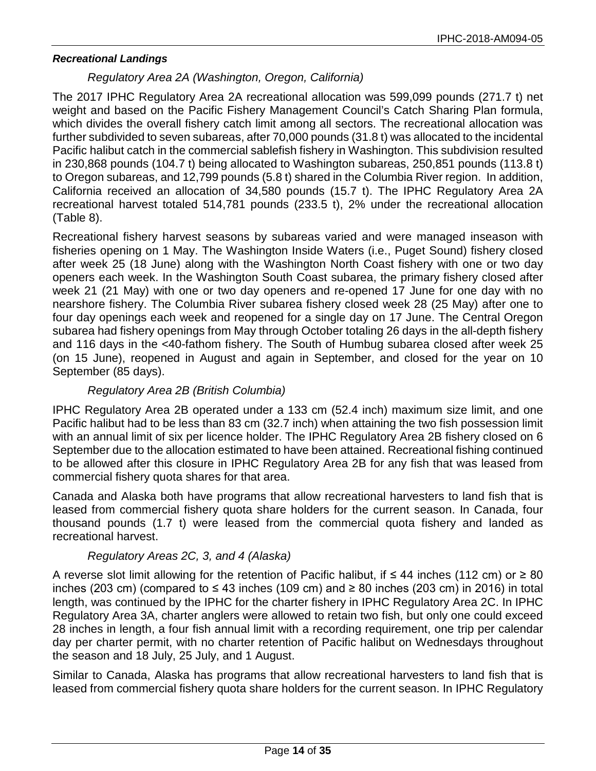### *Recreational Landings*

### *Regulatory Area 2A (Washington, Oregon, California)*

The 2017 IPHC Regulatory Area 2A recreational allocation was 599,099 pounds (271.7 t) net weight and based on the Pacific Fishery Management Council's Catch Sharing Plan formula, which divides the overall fishery catch limit among all sectors. The recreational allocation was further subdivided to seven subareas, after 70,000 pounds (31.8 t) was allocated to the incidental Pacific halibut catch in the commercial sablefish fishery in Washington. This subdivision resulted in 230,868 pounds (104.7 t) being allocated to Washington subareas, 250,851 pounds (113.8 t) to Oregon subareas, and 12,799 pounds (5.8 t) shared in the Columbia River region. In addition, California received an allocation of 34,580 pounds (15.7 t). The IPHC Regulatory Area 2A recreational harvest totaled 514,781 pounds (233.5 t), 2% under the recreational allocation (Table 8).

Recreational fishery harvest seasons by subareas varied and were managed inseason with fisheries opening on 1 May. The Washington Inside Waters (i.e., Puget Sound) fishery closed after week 25 (18 June) along with the Washington North Coast fishery with one or two day openers each week. In the Washington South Coast subarea, the primary fishery closed after week 21 (21 May) with one or two day openers and re-opened 17 June for one day with no nearshore fishery. The Columbia River subarea fishery closed week 28 (25 May) after one to four day openings each week and reopened for a single day on 17 June. The Central Oregon subarea had fishery openings from May through October totaling 26 days in the all-depth fishery and 116 days in the <40-fathom fishery. The South of Humbug subarea closed after week 25 (on 15 June), reopened in August and again in September, and closed for the year on 10 September (85 days).

### *Regulatory Area 2B (British Columbia)*

IPHC Regulatory Area 2B operated under a 133 cm (52.4 inch) maximum size limit, and one Pacific halibut had to be less than 83 cm (32.7 inch) when attaining the two fish possession limit with an annual limit of six per licence holder. The IPHC Regulatory Area 2B fishery closed on 6 September due to the allocation estimated to have been attained. Recreational fishing continued to be allowed after this closure in IPHC Regulatory Area 2B for any fish that was leased from commercial fishery quota shares for that area.

Canada and Alaska both have programs that allow recreational harvesters to land fish that is leased from commercial fishery quota share holders for the current season. In Canada, four thousand pounds (1.7 t) were leased from the commercial quota fishery and landed as recreational harvest.

### *Regulatory Areas 2C, 3, and 4 (Alaska)*

A reverse slot limit allowing for the retention of Pacific halibut, if ≤ 44 inches (112 cm) or  $\geq 80$ inches (203 cm) (compared to ≤ 43 inches (109 cm) and ≥ 80 inches (203 cm) in 2016) in total length, was continued by the IPHC for the charter fishery in IPHC Regulatory Area 2C. In IPHC Regulatory Area 3A, charter anglers were allowed to retain two fish, but only one could exceed 28 inches in length, a four fish annual limit with a recording requirement, one trip per calendar day per charter permit, with no charter retention of Pacific halibut on Wednesdays throughout the season and 18 July, 25 July, and 1 August.

Similar to Canada, Alaska has programs that allow recreational harvesters to land fish that is leased from commercial fishery quota share holders for the current season. In IPHC Regulatory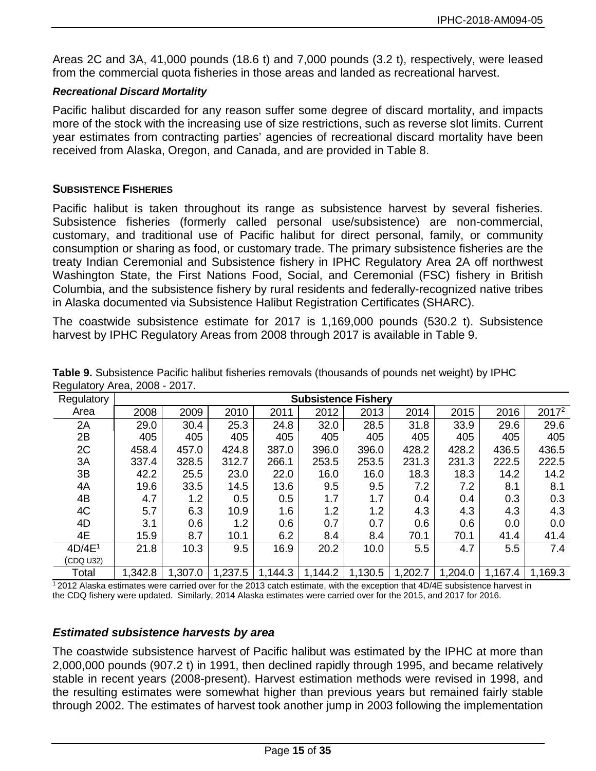Areas 2C and 3A, 41,000 pounds (18.6 t) and 7,000 pounds (3.2 t), respectively, were leased from the commercial quota fisheries in those areas and landed as recreational harvest.

### *Recreational Discard Mortality*

Pacific halibut discarded for any reason suffer some degree of discard mortality, and impacts more of the stock with the increasing use of size restrictions, such as reverse slot limits. Current year estimates from contracting parties' agencies of recreational discard mortality have been received from Alaska, Oregon, and Canada, and are provided in Table 8.

#### **SUBSISTENCE FISHERIES**

Pacific halibut is taken throughout its range as subsistence harvest by several fisheries. Subsistence fisheries (formerly called personal use/subsistence) are non-commercial, customary, and traditional use of Pacific halibut for direct personal, family, or community consumption or sharing as food, or customary trade. The primary subsistence fisheries are the treaty Indian Ceremonial and Subsistence fishery in IPHC Regulatory Area 2A off northwest Washington State, the First Nations Food, Social, and Ceremonial (FSC) fishery in British Columbia, and the subsistence fishery by rural residents and federally-recognized native tribes in Alaska documented via Subsistence Halibut Registration Certificates (SHARC).

The coastwide subsistence estimate for 2017 is 1,169,000 pounds (530.2 t). Subsistence harvest by IPHC Regulatory Areas from 2008 through 2017 is available in Table 9.

| Regulatory         |         |         |         |         | <b>Subsistence Fishery</b> |         |         |         |         |                   |
|--------------------|---------|---------|---------|---------|----------------------------|---------|---------|---------|---------|-------------------|
| Area               | 2008    | 2009    | 2010    | 2011    | 2012                       | 2013    | 2014    | 2015    | 2016    | 2017 <sup>2</sup> |
| 2A                 | 29.0    | 30.4    | 25.3    | 24.8    | 32.0                       | 28.5    | 31.8    | 33.9    | 29.6    | 29.6              |
| 2B                 | 405     | 405     | 405     | 405     | 405                        | 405     | 405     | 405     | 405     | 405               |
| 2C                 | 458.4   | 457.0   | 424.8   | 387.0   | 396.0                      | 396.0   | 428.2   | 428.2   | 436.5   | 436.5             |
| 3A                 | 337.4   | 328.5   | 312.7   | 266.1   | 253.5                      | 253.5   | 231.3   | 231.3   | 222.5   | 222.5             |
| 3B                 | 42.2    | 25.5    | 23.0    | 22.0    | 16.0                       | 16.0    | 18.3    | 18.3    | 14.2    | 14.2              |
| 4A                 | 19.6    | 33.5    | 14.5    | 13.6    | 9.5                        | 9.5     | 7.2     | 7.2     | 8.1     | 8.1               |
| 4B                 | 4.7     | 1.2     | 0.5     | 0.5     | 1.7                        | 1.7     | 0.4     | 0.4     | 0.3     | 0.3               |
| 4C                 | 5.7     | 6.3     | 10.9    | 1.6     | 1.2                        | 1.2     | 4.3     | 4.3     | 4.3     | 4.3               |
| 4D                 | 3.1     | 0.6     | 1.2     | 0.6     | 0.7                        | 0.7     | 0.6     | 0.6     | 0.0     | 0.0               |
| 4E                 | 15.9    | 8.7     | 10.1    | 6.2     | 8.4                        | 8.4     | 70.1    | 70.1    | 41.4    | 41.4              |
| 4D/4E <sup>1</sup> | 21.8    | 10.3    | 9.5     | 16.9    | 20.2                       | 10.0    | 5.5     | 4.7     | 5.5     | 7.4               |
| (CDQ U32)          |         |         |         |         |                            |         |         |         |         |                   |
| Total              | 1,342.8 | 1,307.0 | 1,237.5 | 1,144.3 | 1,144.2                    | 1,130.5 | 1,202.7 | 1,204.0 | 1,167.4 | 1,169.3           |

**Table 9.** Subsistence Pacific halibut fisheries removals (thousands of pounds net weight) by IPHC Regulatory Area, 2008 - 2017.

 $12012$  Alaska estimates were carried over for the 2013 catch estimate, with the exception that 4D/4E subsistence harvest in the CDQ fishery were updated. Similarly, 2014 Alaska estimates were carried over for the 2015, and 2017 for 2016.

### *Estimated subsistence harvests by area*

The coastwide subsistence harvest of Pacific halibut was estimated by the IPHC at more than 2,000,000 pounds (907.2 t) in 1991, then declined rapidly through 1995, and became relatively stable in recent years (2008-present). Harvest estimation methods were revised in 1998, and the resulting estimates were somewhat higher than previous years but remained fairly stable through 2002. The estimates of harvest took another jump in 2003 following the implementation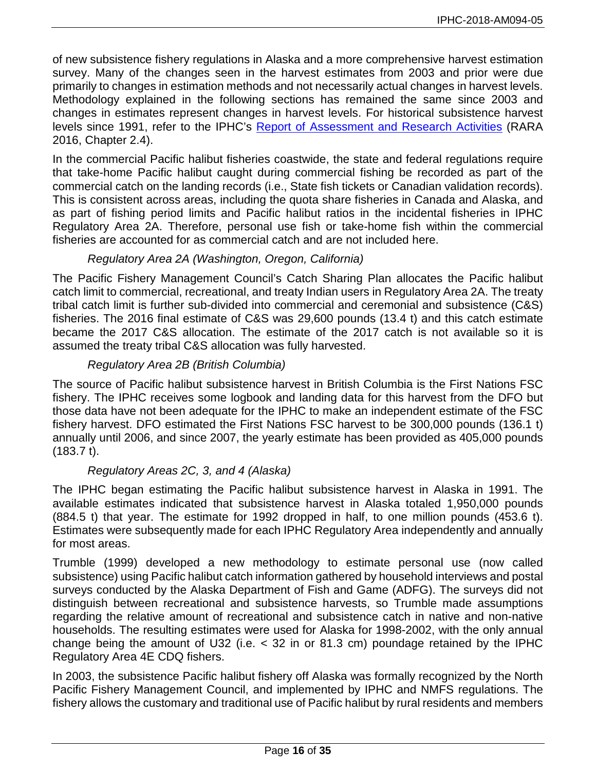of new subsistence fishery regulations in Alaska and a more comprehensive harvest estimation survey. Many of the changes seen in the harvest estimates from 2003 and prior were due primarily to changes in estimation methods and not necessarily actual changes in harvest levels. Methodology explained in the following sections has remained the same since 2003 and changes in estimates represent changes in harvest levels. For historical subsistence harvest levels since 1991, refer to the IPHC's [Report of Assessment and Research Activities](http://iphc.int/library/documents/category/report-of-research-assessment-and-research-activities-rara) (RARA 2016, Chapter 2.4).

In the commercial Pacific halibut fisheries coastwide, the state and federal regulations require that take-home Pacific halibut caught during commercial fishing be recorded as part of the commercial catch on the landing records (i.e., State fish tickets or Canadian validation records). This is consistent across areas, including the quota share fisheries in Canada and Alaska, and as part of fishing period limits and Pacific halibut ratios in the incidental fisheries in IPHC Regulatory Area 2A. Therefore, personal use fish or take-home fish within the commercial fisheries are accounted for as commercial catch and are not included here.

# *Regulatory Area 2A (Washington, Oregon, California)*

The Pacific Fishery Management Council's Catch Sharing Plan allocates the Pacific halibut catch limit to commercial, recreational, and treaty Indian users in Regulatory Area 2A. The treaty tribal catch limit is further sub-divided into commercial and ceremonial and subsistence (C&S) fisheries. The 2016 final estimate of C&S was 29,600 pounds (13.4 t) and this catch estimate became the 2017 C&S allocation. The estimate of the 2017 catch is not available so it is assumed the treaty tribal C&S allocation was fully harvested.

## *Regulatory Area 2B (British Columbia)*

The source of Pacific halibut subsistence harvest in British Columbia is the First Nations FSC fishery. The IPHC receives some logbook and landing data for this harvest from the DFO but those data have not been adequate for the IPHC to make an independent estimate of the FSC fishery harvest. DFO estimated the First Nations FSC harvest to be 300,000 pounds (136.1 t) annually until 2006, and since 2007, the yearly estimate has been provided as 405,000 pounds (183.7 t).

### *Regulatory Areas 2C, 3, and 4 (Alaska)*

The IPHC began estimating the Pacific halibut subsistence harvest in Alaska in 1991. The available estimates indicated that subsistence harvest in Alaska totaled 1,950,000 pounds (884.5 t) that year. The estimate for 1992 dropped in half, to one million pounds (453.6 t). Estimates were subsequently made for each IPHC Regulatory Area independently and annually for most areas.

Trumble (1999) developed a new methodology to estimate personal use (now called subsistence) using Pacific halibut catch information gathered by household interviews and postal surveys conducted by the Alaska Department of Fish and Game (ADFG). The surveys did not distinguish between recreational and subsistence harvests, so Trumble made assumptions regarding the relative amount of recreational and subsistence catch in native and non-native households. The resulting estimates were used for Alaska for 1998-2002, with the only annual change being the amount of U32 (i.e.  $<$  32 in or 81.3 cm) poundage retained by the IPHC Regulatory Area 4E CDQ fishers.

In 2003, the subsistence Pacific halibut fishery off Alaska was formally recognized by the North Pacific Fishery Management Council, and implemented by IPHC and NMFS regulations. The fishery allows the customary and traditional use of Pacific halibut by rural residents and members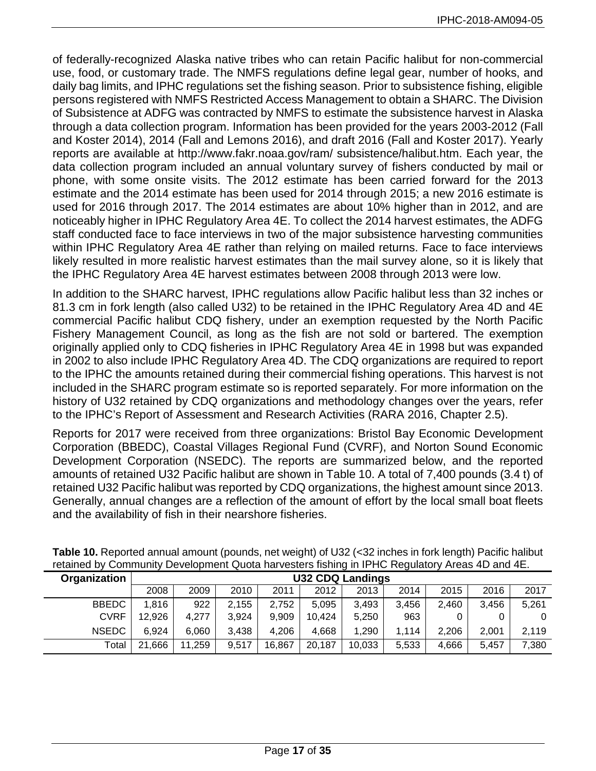of federally-recognized Alaska native tribes who can retain Pacific halibut for non-commercial use, food, or customary trade. The NMFS regulations define legal gear, number of hooks, and daily bag limits, and IPHC regulations set the fishing season. Prior to subsistence fishing, eligible persons registered with NMFS Restricted Access Management to obtain a SHARC. The Division of Subsistence at ADFG was contracted by NMFS to estimate the subsistence harvest in Alaska through a data collection program. Information has been provided for the years 2003-2012 (Fall and Koster 2014), 2014 (Fall and Lemons 2016), and draft 2016 (Fall and Koster 2017). Yearly reports are available at http://www.fakr.noaa.gov/ram/ subsistence/halibut.htm. Each year, the data collection program included an annual voluntary survey of fishers conducted by mail or phone, with some onsite visits. The 2012 estimate has been carried forward for the 2013 estimate and the 2014 estimate has been used for 2014 through 2015; a new 2016 estimate is used for 2016 through 2017. The 2014 estimates are about 10% higher than in 2012, and are noticeably higher in IPHC Regulatory Area 4E. To collect the 2014 harvest estimates, the ADFG staff conducted face to face interviews in two of the major subsistence harvesting communities within IPHC Regulatory Area 4E rather than relying on mailed returns. Face to face interviews likely resulted in more realistic harvest estimates than the mail survey alone, so it is likely that the IPHC Regulatory Area 4E harvest estimates between 2008 through 2013 were low.

In addition to the SHARC harvest, IPHC regulations allow Pacific halibut less than 32 inches or 81.3 cm in fork length (also called U32) to be retained in the IPHC Regulatory Area 4D and 4E commercial Pacific halibut CDQ fishery, under an exemption requested by the North Pacific Fishery Management Council, as long as the fish are not sold or bartered. The exemption originally applied only to CDQ fisheries in IPHC Regulatory Area 4E in 1998 but was expanded in 2002 to also include IPHC Regulatory Area 4D. The CDQ organizations are required to report to the IPHC the amounts retained during their commercial fishing operations. This harvest is not included in the SHARC program estimate so is reported separately. For more information on the history of U32 retained by CDQ organizations and methodology changes over the years, refer to the IPHC's Report of Assessment and Research Activities (RARA 2016, Chapter 2.5).

Reports for 2017 were received from three organizations: Bristol Bay Economic Development Corporation (BBEDC), Coastal Villages Regional Fund (CVRF), and Norton Sound Economic Development Corporation (NSEDC). The reports are summarized below, and the reported amounts of retained U32 Pacific halibut are shown in Table 10. A total of 7,400 pounds (3.4 t) of retained U32 Pacific halibut was reported by CDQ organizations, the highest amount since 2013. Generally, annual changes are a reflection of the amount of effort by the local small boat fleets and the availability of fish in their nearshore fisheries.

| Organization |        |        |       |        |        | <b>U32 CDQ Landings</b> |       |       |       |       |
|--------------|--------|--------|-------|--------|--------|-------------------------|-------|-------|-------|-------|
|              | 2008   | 2009   | 2010  | 2011   | 2012   | 2013                    | 2014  | 2015  | 2016  | 2017  |
| <b>BBEDC</b> | 1,816  | 922    | 2,155 | 2,752  | 5,095  | 3,493                   | 3,456 | 2,460 | 3,456 | 5,261 |
| <b>CVRF</b>  | 12,926 | 4.277  | 3,924 | 9.909  | 10,424 | 5,250                   | 963   |       |       | 0     |
| <b>NSEDC</b> | 6.924  | 6.060  | 3,438 | 4,206  | 4.668  | 1,290                   | 1,114 | 2.206 | 2.001 | 2.119 |
| Total        | 21,666 | 11,259 | 9,517 | 16,867 | 20,187 | 10,033                  | 5,533 | 4,666 | 5,457 | 7,380 |

**Table 10.** Reported annual amount (pounds, net weight) of U32 (<32 inches in fork length) Pacific halibut retained by Community Development Quota harvesters fishing in IPHC Regulatory Areas 4D and 4E.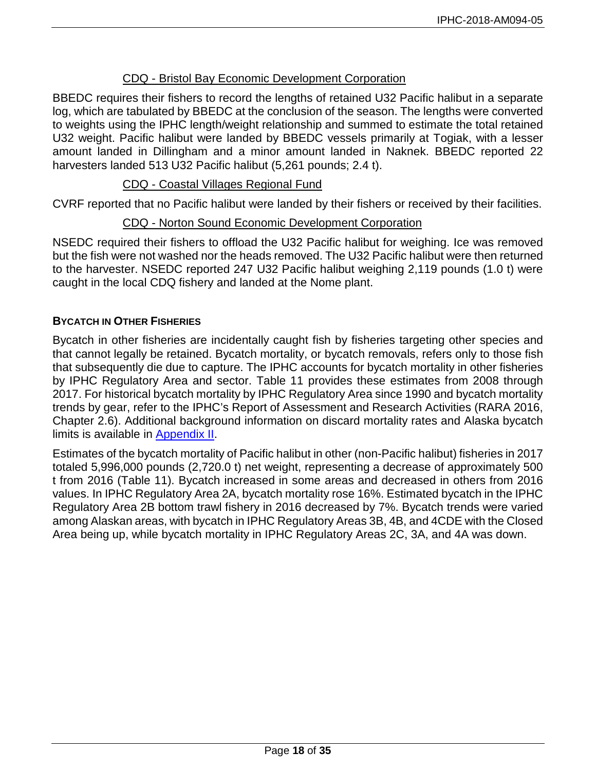## CDQ - Bristol Bay Economic Development Corporation

BBEDC requires their fishers to record the lengths of retained U32 Pacific halibut in a separate log, which are tabulated by BBEDC at the conclusion of the season. The lengths were converted to weights using the IPHC length/weight relationship and summed to estimate the total retained U32 weight. Pacific halibut were landed by BBEDC vessels primarily at Togiak, with a lesser amount landed in Dillingham and a minor amount landed in Naknek. BBEDC reported 22 harvesters landed 513 U32 Pacific halibut (5,261 pounds; 2.4 t).

### CDQ - Coastal Villages Regional Fund

CVRF reported that no Pacific halibut were landed by their fishers or received by their facilities.

## CDQ - Norton Sound Economic Development Corporation

NSEDC required their fishers to offload the U32 Pacific halibut for weighing. Ice was removed but the fish were not washed nor the heads removed. The U32 Pacific halibut were then returned to the harvester. NSEDC reported 247 U32 Pacific halibut weighing 2,119 pounds (1.0 t) were caught in the local CDQ fishery and landed at the Nome plant.

## **BYCATCH IN OTHER FISHERIES**

Bycatch in other fisheries are incidentally caught fish by fisheries targeting other species and that cannot legally be retained. Bycatch mortality, or bycatch removals, refers only to those fish that subsequently die due to capture. The IPHC accounts for bycatch mortality in other fisheries by IPHC Regulatory Area and sector. Table 11 provides these estimates from 2008 through 2017. For historical bycatch mortality by IPHC Regulatory Area since 1990 and bycatch mortality trends by gear, refer to the IPHC's Report of Assessment and Research Activities (RARA 2016, Chapter 2.6). Additional background information on discard mortality rates and Alaska bycatch limits is available in [Appendix II.](#page-31-0)

Estimates of the bycatch mortality of Pacific halibut in other (non-Pacific halibut) fisheries in 2017 totaled 5,996,000 pounds (2,720.0 t) net weight, representing a decrease of approximately 500 t from 2016 (Table 11). Bycatch increased in some areas and decreased in others from 2016 values. In IPHC Regulatory Area 2A, bycatch mortality rose 16%. Estimated bycatch in the IPHC Regulatory Area 2B bottom trawl fishery in 2016 decreased by 7%. Bycatch trends were varied among Alaskan areas, with bycatch in IPHC Regulatory Areas 3B, 4B, and 4CDE with the Closed Area being up, while bycatch mortality in IPHC Regulatory Areas 2C, 3A, and 4A was down.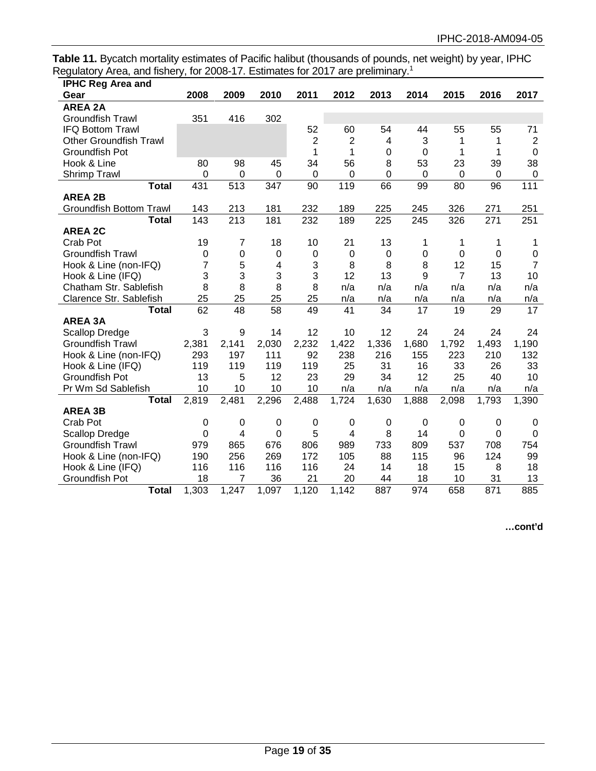**Table 11.** Bycatch mortality estimates of Pacific halibut (thousands of pounds, net weight) by year, IPHC Regulatory Area, and fishery, for 2008-17. Estimates for 2017 are preliminary.<sup>1</sup>

| <b>IPHC Reg Area and</b>       |             |                |             |                |             |             |           |                |                  |                  |
|--------------------------------|-------------|----------------|-------------|----------------|-------------|-------------|-----------|----------------|------------------|------------------|
| Gear                           | 2008        | 2009           | 2010        | 2011           | 2012        | 2013        | 2014      | 2015           | 2016             | 2017             |
| <b>AREA 2A</b>                 |             |                |             |                |             |             |           |                |                  |                  |
| <b>Groundfish Trawl</b>        | 351         | 416            | 302         |                |             |             |           |                |                  |                  |
| <b>IFQ Bottom Trawl</b>        |             |                |             | 52             | 60          | 54          | 44        | 55             | 55               | 71               |
| <b>Other Groundfish Trawl</b>  |             |                |             | $\overline{2}$ | 2           | 4           | 3         | 1              | 1                | $\overline{2}$   |
| Groundfish Pot                 |             |                |             | 1              | 1           | 0           | 0         | 1              | 1                | $\boldsymbol{0}$ |
| Hook & Line                    | 80          | 98             | 45          | 34             | 56          | 8           | 53        | 23             | 39               | 38               |
| Shrimp Trawl                   | 0           | 0              | 0           | 0              | $\Omega$    | 0           | 0         | $\mathbf 0$    | 0                | $\boldsymbol{0}$ |
| <b>Total</b>                   | 431         | 513            | 347         | 90             | 119         | 66          | 99        | 80             | 96               | 111              |
| <b>AREA 2B</b>                 |             |                |             |                |             |             |           |                |                  |                  |
| <b>Groundfish Bottom Trawl</b> | 143         | 213            | 181         | 232            | 189         | 225         | 245       | 326            | 271              | 251              |
| Total                          | 143         | 213            | 181         | 232            | 189         | 225         | 245       | 326            | 271              | 251              |
| <b>AREA 2C</b>                 |             |                |             |                |             |             |           |                |                  |                  |
| Crab Pot                       | 19          | $\overline{7}$ | 18          | 10             | 21          | 13          | 1         | 1              | 1                | 1                |
| <b>Groundfish Trawl</b>        | 0           | 0              | $\mathbf 0$ | $\pmb{0}$      | 0           | $\mathbf 0$ | $\pmb{0}$ | 0              | $\Omega$         | $\boldsymbol{0}$ |
| Hook & Line (non-IFQ)          | 7           | 5              | 4           | 3              | 8           | 8           | 8         | 12             | 15               | $\overline{7}$   |
| Hook & Line (IFQ)              | 3           | 3              | 3           | 3              | 12          | 13          | 9         | $\overline{7}$ | 13               | 10               |
| Chatham Str. Sablefish         | 8           | 8              | 8           | 8              | n/a         | n/a         | n/a       | n/a            | n/a              | n/a              |
| Clarence Str. Sablefish        | 25          | 25             | 25          | 25             | n/a         | n/a         | n/a       | n/a            | n/a              | n/a              |
| <b>Total</b>                   | 62          | 48             | 58          | 49             | 41          | 34          | 17        | 19             | 29               | 17               |
| <b>AREA 3A</b>                 |             |                |             |                |             |             |           |                |                  |                  |
| <b>Scallop Dredge</b>          | 3           | 9              | 14          | 12             | 10          | 12          | 24        | 24             | 24               | 24               |
| <b>Groundfish Trawl</b>        | 2,381       | 2,141          | 2,030       | 2,232          | 1,422       | 1,336       | 1,680     | 1,792          | 1,493            | 1,190            |
| Hook & Line (non-IFQ)          | 293         | 197            | 111         | 92             | 238         | 216         | 155       | 223            | 210              | 132              |
| Hook & Line (IFQ)              | 119         | 119            | 119         | 119            | 25          | 31          | 16        | 33             | 26               | 33               |
| Groundfish Pot                 | 13          | 5              | 12          | 23             | 29          | 34          | 12        | 25             | 40               | 10               |
| Pr Wm Sd Sablefish             | 10          | 10             | 10          | 10             | n/a         | n/a         | n/a       | n/a            | n/a              | n/a              |
| <b>Total</b>                   | 2,819       | 2,481          | 2,296       | 2,488          | 1,724       | 1,630       | 1,888     | 2,098          | 1,793            | 1,390            |
| <b>AREA 3B</b>                 |             |                |             |                |             |             |           |                |                  |                  |
| Crab Pot                       | $\mathbf 0$ | 0              | $\mathbf 0$ | 0              | $\mathbf 0$ | $\mathbf 0$ | 0         | 0              | $\boldsymbol{0}$ | 0                |
| <b>Scallop Dredge</b>          | 0           | 4              | 0           | 5              | 4           | 8           | 14        | 0              | $\overline{0}$   | $\overline{0}$   |
| <b>Groundfish Trawl</b>        | 979         | 865            | 676         | 806            | 989         | 733         | 809       | 537            | 708              | 754              |
| Hook & Line (non-IFQ)          | 190         | 256            | 269         | 172            | 105         | 88          | 115       | 96             | 124              | 99               |
| Hook & Line (IFQ)              | 116         | 116            | 116         | 116            | 24          | 14          | 18        | 15             | 8                | 18               |
| <b>Groundfish Pot</b>          | 18          | 7              | 36          | 21             | 20          | 44          | 18        | 10             | 31               | 13               |
| <b>Total</b>                   | 1,303       | 1,247          | 1,097       | 1,120          | 1,142       | 887         | 974       | 658            | 871              | 885              |

**…cont'd**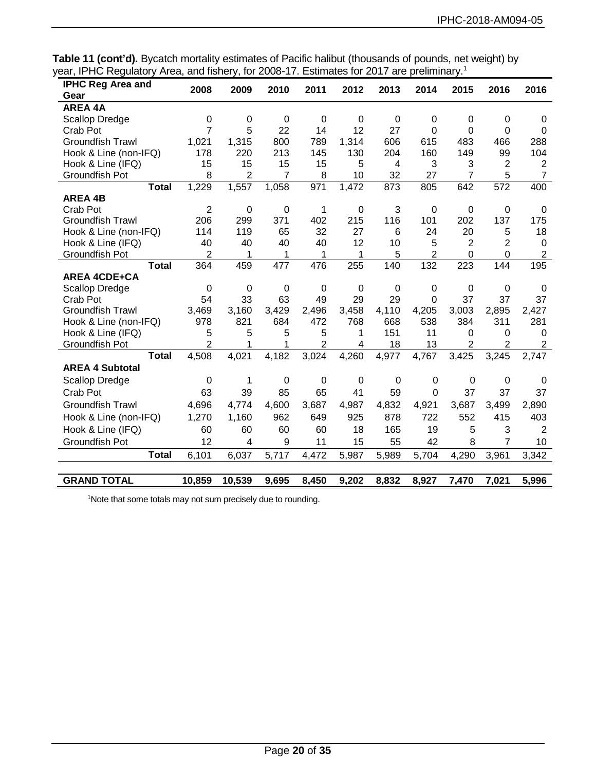**Table 11 (cont'd).** Bycatch mortality estimates of Pacific halibut (thousands of pounds, net weight) by year, IPHC Regulatory Area, and fishery, for 2008-17. Estimates for 2017 are preliminary.1

| <b>IPHC Reg Area and</b>       | 2008                | 2009             | 2010        | 2011                | 2012        | 2013        | 2014           | 2015                | 2016           | 2016                       |
|--------------------------------|---------------------|------------------|-------------|---------------------|-------------|-------------|----------------|---------------------|----------------|----------------------------|
| Gear                           |                     |                  |             |                     |             |             |                |                     |                |                            |
| <b>AREA 4A</b>                 |                     |                  |             |                     |             |             |                |                     |                |                            |
| <b>Scallop Dredge</b>          | $\pmb{0}$           | $\boldsymbol{0}$ | $\mathbf 0$ | $\mathbf 0$         | $\mathbf 0$ | $\mathbf 0$ | 0              | 0                   | 0              | 0                          |
| Crab Pot                       | $\overline{7}$      | 5                | 22          | 14                  | 12          | 27          | $\mathbf 0$    | 0                   | 0              | $\mathbf 0$                |
| <b>Groundfish Trawl</b>        | 1,021               | 1,315            | 800         | 789                 | 1,314       | 606         | 615            | 483                 | 466            | 288                        |
| Hook & Line (non-IFQ)          | 178                 | 220              | 213         | 145                 | 130         | 204         | 160            | 149                 | 99             | 104                        |
| Hook & Line (IFQ)              | 15                  | 15               | 15          | 15                  | 5           | 4           | 3              | 3                   | $\overline{2}$ | $\overline{2}$             |
| <b>Groundfish Pot</b>          | 8                   | 2                | 7           | 8                   | 10          | 32          | 27             | $\overline{7}$      | 5              | $\overline{7}$             |
| <b>Total</b>                   | 1,229               | 1,557            | 1,058       | 971                 | 1,472       | 873         | 805            | 642                 | 572            | 400                        |
| <b>AREA 4B</b>                 |                     |                  |             |                     |             |             |                |                     |                |                            |
| Crab Pot                       | $\overline{2}$      | $\mathbf 0$      | $\mathbf 0$ | 1                   | 0           | 3           | 0              | 0                   | 0              | 0                          |
| <b>Groundfish Trawl</b>        | 206                 | 299              | 371         | 402                 | 215         | 116         | 101            | 202                 | 137            | 175                        |
| Hook & Line (non-IFQ)          | 114                 | 119              | 65          | 32                  | 27          | 6           | 24             | 20                  | 5              | 18                         |
| Hook & Line (IFQ)              | 40                  | 40               | 40          | 40                  | 12          | 10          | 5              | 2                   | $\overline{2}$ | $\mathbf 0$                |
| Groundfish Pot                 | 2                   | 1                | 1           | 1                   | 1           | 5           | $\overline{2}$ | 0                   | 0              | $\overline{2}$             |
| <b>Total</b>                   | 364                 | 459              | 477         | 476                 | 255         | 140         | 132            | 223                 | 144            | 195                        |
| <b>AREA 4CDE+CA</b>            |                     |                  |             |                     |             |             |                |                     |                |                            |
| Scallop Dredge                 | $\mathbf 0$         | 0                | $\mathbf 0$ | 0                   | $\mathbf 0$ | $\mathbf 0$ | $\mathbf 0$    | $\mathbf 0$         | $\mathbf 0$    | 0                          |
| Crab Pot                       | 54                  | 33               | 63          | 49                  | 29          | 29          | $\overline{0}$ | 37                  | 37             | 37                         |
| <b>Groundfish Trawl</b>        | 3,469               | 3,160            | 3,429       | 2,496               | 3,458       | 4,110       | 4,205          | 3,003               | 2,895          | 2,427                      |
| Hook & Line (non-IFQ)          | 978                 | 821              | 684         | 472                 | 768         | 668         | 538            | 384                 | 311            | 281                        |
| Hook & Line (IFQ)              | 5<br>$\overline{2}$ | 5<br>1           | 5<br>1      | 5<br>$\overline{2}$ | 1<br>4      | 151<br>18   | 11<br>13       | 0<br>$\overline{2}$ | 0<br>2         | $\Omega$<br>$\overline{2}$ |
| Groundfish Pot<br><b>Total</b> | 4,508               | 4,021            | 4,182       | 3,024               | 4,260       | 4,977       | 4,767          | 3,425               | 3,245          | 2,747                      |
|                                |                     |                  |             |                     |             |             |                |                     |                |                            |
| <b>AREA 4 Subtotal</b>         |                     |                  |             |                     |             |             |                |                     |                |                            |
| <b>Scallop Dredge</b>          | $\mathbf 0$         | 1                | $\mathbf 0$ | $\mathbf 0$         | $\mathbf 0$ | $\mathbf 0$ | $\mathbf 0$    | 0                   | 0              | 0                          |
| Crab Pot                       | 63                  | 39               | 85          | 65                  | 41          | 59          | $\mathbf 0$    | 37                  | 37             | 37                         |
| <b>Groundfish Trawl</b>        | 4,696               | 4,774            | 4,600       | 3,687               | 4,987       | 4,832       | 4,921          | 3,687               | 3,499          | 2,890                      |
| Hook & Line (non-IFQ)          | 1,270               | 1,160            | 962         | 649                 | 925         | 878         | 722            | 552                 | 415            | 403                        |
| Hook & Line (IFQ)              | 60                  | 60               | 60          | 60                  | 18          | 165         | 19             | 5                   | 3              | $\overline{2}$             |
| Groundfish Pot                 | 12                  | 4                | 9           | 11                  | 15          | 55          | 42             | 8                   | $\overline{7}$ | 10                         |
| <b>Total</b>                   | 6,101               | 6,037            | 5,717       | 4,472               | 5,987       | 5,989       | 5,704          | 4,290               | 3,961          | 3,342                      |
|                                |                     |                  |             |                     |             |             |                |                     |                |                            |
| <b>GRAND TOTAL</b>             | 10,859              | 10,539           | 9,695       | 8,450               | 9,202       | 8,832       | 8,927          | 7,470               | 7,021          | 5,996                      |

<sup>1</sup>Note that some totals may not sum precisely due to rounding.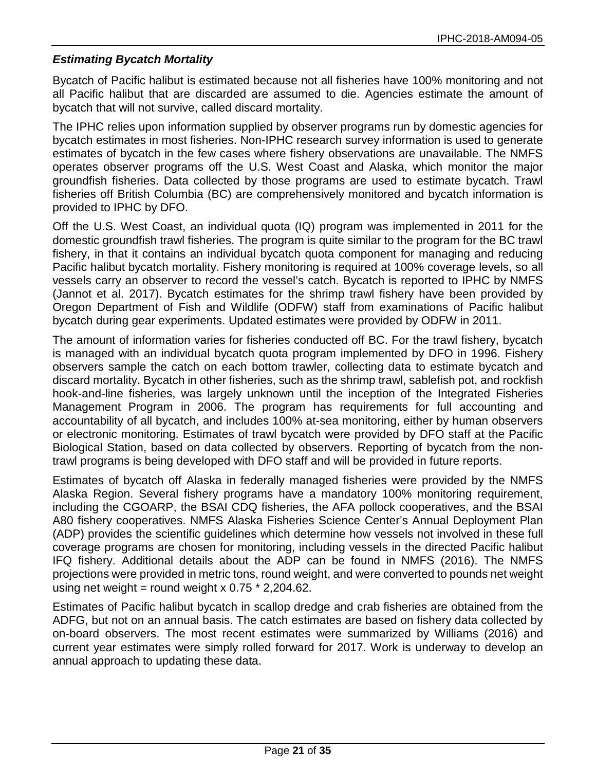## *Estimating Bycatch Mortality*

Bycatch of Pacific halibut is estimated because not all fisheries have 100% monitoring and not all Pacific halibut that are discarded are assumed to die. Agencies estimate the amount of bycatch that will not survive, called discard mortality.

The IPHC relies upon information supplied by observer programs run by domestic agencies for bycatch estimates in most fisheries. Non-IPHC research survey information is used to generate estimates of bycatch in the few cases where fishery observations are unavailable. The NMFS operates observer programs off the U.S. West Coast and Alaska, which monitor the major groundfish fisheries. Data collected by those programs are used to estimate bycatch. Trawl fisheries off British Columbia (BC) are comprehensively monitored and bycatch information is provided to IPHC by DFO.

Off the U.S. West Coast, an individual quota (IQ) program was implemented in 2011 for the domestic groundfish trawl fisheries. The program is quite similar to the program for the BC trawl fishery, in that it contains an individual bycatch quota component for managing and reducing Pacific halibut bycatch mortality. Fishery monitoring is required at 100% coverage levels, so all vessels carry an observer to record the vessel's catch. Bycatch is reported to IPHC by NMFS (Jannot et al. 2017). Bycatch estimates for the shrimp trawl fishery have been provided by Oregon Department of Fish and Wildlife (ODFW) staff from examinations of Pacific halibut bycatch during gear experiments. Updated estimates were provided by ODFW in 2011.

The amount of information varies for fisheries conducted off BC. For the trawl fishery, bycatch is managed with an individual bycatch quota program implemented by DFO in 1996. Fishery observers sample the catch on each bottom trawler, collecting data to estimate bycatch and discard mortality. Bycatch in other fisheries, such as the shrimp trawl, sablefish pot, and rockfish hook-and-line fisheries, was largely unknown until the inception of the Integrated Fisheries Management Program in 2006. The program has requirements for full accounting and accountability of all bycatch, and includes 100% at-sea monitoring, either by human observers or electronic monitoring. Estimates of trawl bycatch were provided by DFO staff at the Pacific Biological Station, based on data collected by observers. Reporting of bycatch from the nontrawl programs is being developed with DFO staff and will be provided in future reports.

Estimates of bycatch off Alaska in federally managed fisheries were provided by the NMFS Alaska Region. Several fishery programs have a mandatory 100% monitoring requirement, including the CGOARP, the BSAI CDQ fisheries, the AFA pollock cooperatives, and the BSAI A80 fishery cooperatives. NMFS Alaska Fisheries Science Center's Annual Deployment Plan (ADP) provides the scientific guidelines which determine how vessels not involved in these full coverage programs are chosen for monitoring, including vessels in the directed Pacific halibut IFQ fishery. Additional details about the ADP can be found in NMFS (2016). The NMFS projections were provided in metric tons, round weight, and were converted to pounds net weight using net weight = round weight x  $0.75 * 2,204.62$ .

Estimates of Pacific halibut bycatch in scallop dredge and crab fisheries are obtained from the ADFG, but not on an annual basis. The catch estimates are based on fishery data collected by on-board observers. The most recent estimates were summarized by Williams (2016) and current year estimates were simply rolled forward for 2017. Work is underway to develop an annual approach to updating these data.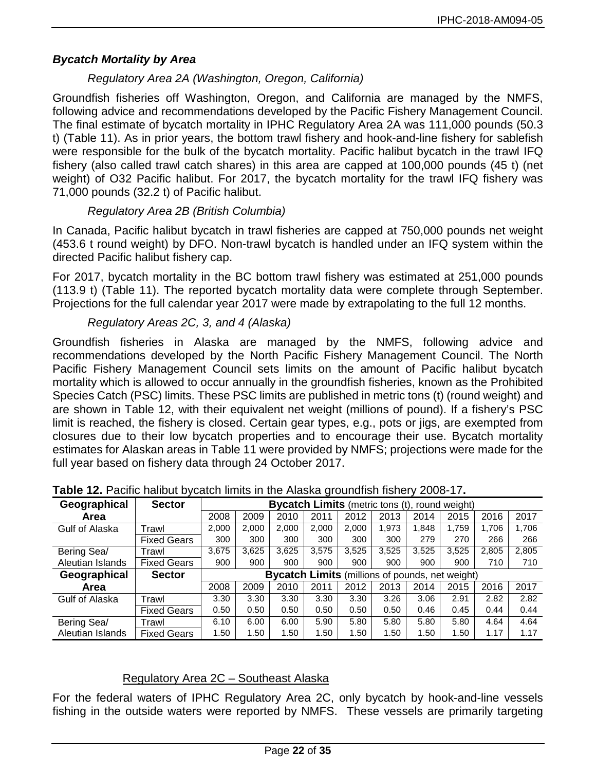# *Bycatch Mortality by Area*

# *Regulatory Area 2A (Washington, Oregon, California)*

Groundfish fisheries off Washington, Oregon, and California are managed by the NMFS, following advice and recommendations developed by the Pacific Fishery Management Council. The final estimate of bycatch mortality in IPHC Regulatory Area 2A was 111,000 pounds (50.3 t) (Table 11). As in prior years, the bottom trawl fishery and hook-and-line fishery for sablefish were responsible for the bulk of the bycatch mortality. Pacific halibut bycatch in the trawl IFQ fishery (also called trawl catch shares) in this area are capped at 100,000 pounds (45 t) (net weight) of O32 Pacific halibut. For 2017, the bycatch mortality for the trawl IFQ fishery was 71,000 pounds (32.2 t) of Pacific halibut.

# *Regulatory Area 2B (British Columbia)*

In Canada, Pacific halibut bycatch in trawl fisheries are capped at 750,000 pounds net weight (453.6 t round weight) by DFO. Non-trawl bycatch is handled under an IFQ system within the directed Pacific halibut fishery cap.

For 2017, bycatch mortality in the BC bottom trawl fishery was estimated at 251,000 pounds (113.9 t) (Table 11). The reported bycatch mortality data were complete through September. Projections for the full calendar year 2017 were made by extrapolating to the full 12 months.

# *Regulatory Areas 2C, 3, and 4 (Alaska)*

Groundfish fisheries in Alaska are managed by the NMFS, following advice and recommendations developed by the North Pacific Fishery Management Council. The North Pacific Fishery Management Council sets limits on the amount of Pacific halibut bycatch mortality which is allowed to occur annually in the groundfish fisheries, known as the Prohibited Species Catch (PSC) limits. These PSC limits are published in metric tons (t) (round weight) and are shown in Table 12, with their equivalent net weight (millions of pound). If a fishery's PSC limit is reached, the fishery is closed. Certain gear types, e.g., pots or jigs, are exempted from closures due to their low bycatch properties and to encourage their use. Bycatch mortality estimates for Alaskan areas in Table 11 were provided by NMFS; projections were made for the full year based on fishery data through 24 October 2017.

| Geographical     | <b>Sector</b>      | <b>Bycatch Limits</b> (metric tons (t), round weight) |                                                        |       |       |       |       |       |       |       |       |
|------------------|--------------------|-------------------------------------------------------|--------------------------------------------------------|-------|-------|-------|-------|-------|-------|-------|-------|
| Area             |                    | 2008                                                  | 2009                                                   | 2010  | 2011  | 2012  | 2013  | 2014  | 2015  | 2016  | 2017  |
| Gulf of Alaska   | Trawl              | 2,000                                                 | 2,000                                                  | 2.000 | 2,000 | 2.000 | 1,973 | 1,848 | 1.759 | 1,706 | 1.706 |
|                  | <b>Fixed Gears</b> | 300                                                   | 300                                                    | 300   | 300   | 300   | 300   | 279   | 270   | 266   | 266   |
| Bering Sea/      | Trawl              | 3,675                                                 | 3,625                                                  | 3,625 | 3,575 | 3,525 | 3,525 | 3,525 | 3,525 | 2,805 | 2,805 |
| Aleutian Islands | <b>Fixed Gears</b> | 900                                                   | 900                                                    | 900   | 900   | 900   | 900   | 900   | 900   | 710   | 710   |
| Geographical     | <b>Sector</b>      |                                                       | <b>Bycatch Limits</b> (millions of pounds, net weight) |       |       |       |       |       |       |       |       |
| Area             |                    | 2008                                                  | 2009                                                   | 2010  | 2011  | 2012  | 2013  | 2014  | 2015  | 2016  | 2017  |
| Gulf of Alaska   | Trawl              | 3.30                                                  | 3.30                                                   | 3.30  | 3.30  | 3.30  | 3.26  | 3.06  | 2.91  | 2.82  | 2.82  |
|                  | <b>Fixed Gears</b> | 0.50                                                  | 0.50                                                   | 0.50  | 0.50  | 0.50  | 0.50  | 0.46  | 0.45  | 0.44  | 0.44  |
| Bering Sea/      | Trawl              | 6.10                                                  | 6.00                                                   | 6.00  | 5.90  | 5.80  | 5.80  | 5.80  | 5.80  | 4.64  | 4.64  |
| Aleutian Islands | <b>Fixed Gears</b> | 1.50                                                  | 1.50                                                   | 1.50  | 1.50  | 1.50  | 1.50  | 1.50  | 1.50  | 1.17  | 1.17  |

### **Table 12.** Pacific halibut bycatch limits in the Alaska groundfish fishery 2008-17**.**

# Regulatory Area 2C – Southeast Alaska

For the federal waters of IPHC Regulatory Area 2C, only bycatch by hook-and-line vessels fishing in the outside waters were reported by NMFS. These vessels are primarily targeting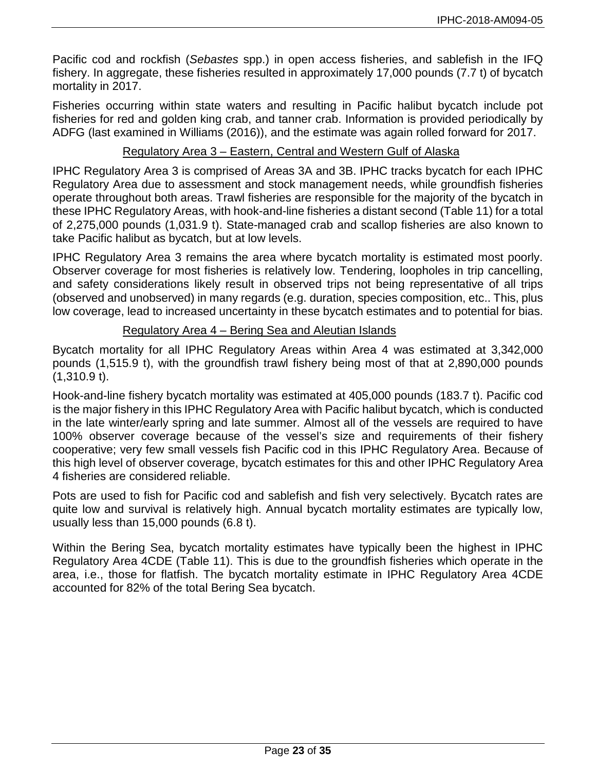Pacific cod and rockfish (*Sebastes* spp.) in open access fisheries, and sablefish in the IFQ fishery. In aggregate, these fisheries resulted in approximately 17,000 pounds (7.7 t) of bycatch mortality in 2017.

Fisheries occurring within state waters and resulting in Pacific halibut bycatch include pot fisheries for red and golden king crab, and tanner crab. Information is provided periodically by ADFG (last examined in Williams (2016)), and the estimate was again rolled forward for 2017.

## Regulatory Area 3 – Eastern, Central and Western Gulf of Alaska

IPHC Regulatory Area 3 is comprised of Areas 3A and 3B. IPHC tracks bycatch for each IPHC Regulatory Area due to assessment and stock management needs, while groundfish fisheries operate throughout both areas. Trawl fisheries are responsible for the majority of the bycatch in these IPHC Regulatory Areas, with hook-and-line fisheries a distant second (Table 11) for a total of 2,275,000 pounds (1,031.9 t). State-managed crab and scallop fisheries are also known to take Pacific halibut as bycatch, but at low levels.

IPHC Regulatory Area 3 remains the area where bycatch mortality is estimated most poorly. Observer coverage for most fisheries is relatively low. Tendering, loopholes in trip cancelling, and safety considerations likely result in observed trips not being representative of all trips (observed and unobserved) in many regards (e.g. duration, species composition, etc.. This, plus low coverage, lead to increased uncertainty in these bycatch estimates and to potential for bias.

### Regulatory Area 4 – Bering Sea and Aleutian Islands

Bycatch mortality for all IPHC Regulatory Areas within Area 4 was estimated at 3,342,000 pounds (1,515.9 t), with the groundfish trawl fishery being most of that at 2,890,000 pounds (1,310.9 t).

Hook-and-line fishery bycatch mortality was estimated at 405,000 pounds (183.7 t). Pacific cod is the major fishery in this IPHC Regulatory Area with Pacific halibut bycatch, which is conducted in the late winter/early spring and late summer. Almost all of the vessels are required to have 100% observer coverage because of the vessel's size and requirements of their fishery cooperative; very few small vessels fish Pacific cod in this IPHC Regulatory Area. Because of this high level of observer coverage, bycatch estimates for this and other IPHC Regulatory Area 4 fisheries are considered reliable.

Pots are used to fish for Pacific cod and sablefish and fish very selectively. Bycatch rates are quite low and survival is relatively high. Annual bycatch mortality estimates are typically low, usually less than 15,000 pounds (6.8 t).

Within the Bering Sea, bycatch mortality estimates have typically been the highest in IPHC Regulatory Area 4CDE (Table 11). This is due to the groundfish fisheries which operate in the area, i.e., those for flatfish. The bycatch mortality estimate in IPHC Regulatory Area 4CDE accounted for 82% of the total Bering Sea bycatch.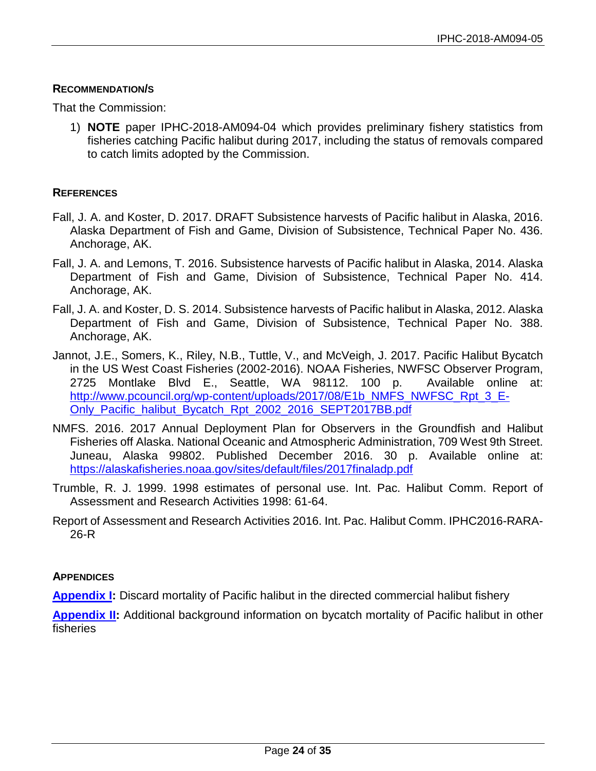### **RECOMMENDATION/S**

That the Commission:

1) **NOTE** paper IPHC-2018-AM094-04 which provides preliminary fishery statistics from fisheries catching Pacific halibut during 2017, including the status of removals compared to catch limits adopted by the Commission.

### **REFERENCES**

- Fall, J. A. and Koster, D. 2017. DRAFT Subsistence harvests of Pacific halibut in Alaska, 2016. Alaska Department of Fish and Game, Division of Subsistence, Technical Paper No. 436. Anchorage, AK.
- Fall, J. A. and Lemons, T. 2016. Subsistence harvests of Pacific halibut in Alaska, 2014. Alaska Department of Fish and Game, Division of Subsistence, Technical Paper No. 414. Anchorage, AK.
- Fall, J. A. and Koster, D. S. 2014. Subsistence harvests of Pacific halibut in Alaska, 2012. Alaska Department of Fish and Game, Division of Subsistence, Technical Paper No. 388. Anchorage, AK.
- Jannot, J.E., Somers, K., Riley, N.B., Tuttle, V., and McVeigh, J. 2017. Pacific Halibut Bycatch in the US West Coast Fisheries (2002-2016). NOAA Fisheries, NWFSC Observer Program, 2725 Montlake Blvd E., Seattle, WA 98112. 100 p. Available online at: [http://www.pcouncil.org/wp-content/uploads/2017/08/E1b\\_NMFS\\_NWFSC\\_Rpt\\_3\\_E-](http://www.pcouncil.org/wp-content/uploads/2017/08/E1b_NMFS_NWFSC_Rpt_3_E-Only_Pacific_halibut_Bycatch_Rpt_2002_2016_SEPT2017BB.pdf)[Only\\_Pacific\\_halibut\\_Bycatch\\_Rpt\\_2002\\_2016\\_SEPT2017BB.pdf](http://www.pcouncil.org/wp-content/uploads/2017/08/E1b_NMFS_NWFSC_Rpt_3_E-Only_Pacific_halibut_Bycatch_Rpt_2002_2016_SEPT2017BB.pdf)
- NMFS. 2016. 2017 Annual Deployment Plan for Observers in the Groundfish and Halibut Fisheries off Alaska. National Oceanic and Atmospheric Administration, 709 West 9th Street. Juneau, Alaska 99802. Published December 2016. 30 p. Available online at: <https://alaskafisheries.noaa.gov/sites/default/files/2017finaladp.pdf>
- Trumble, R. J. 1999. 1998 estimates of personal use. Int. Pac. Halibut Comm. Report of Assessment and Research Activities 1998: 61-64.
- Report of Assessment and Research Activities 2016. Int. Pac. Halibut Comm. IPHC2016-RARA-26-R

### **APPENDICES**

**[Appendix I:](#page-24-0)** Discard mortality of Pacific halibut in the directed commercial halibut fishery

**[Appendix II:](#page-31-0)** Additional background information on bycatch mortality of Pacific halibut in other fisheries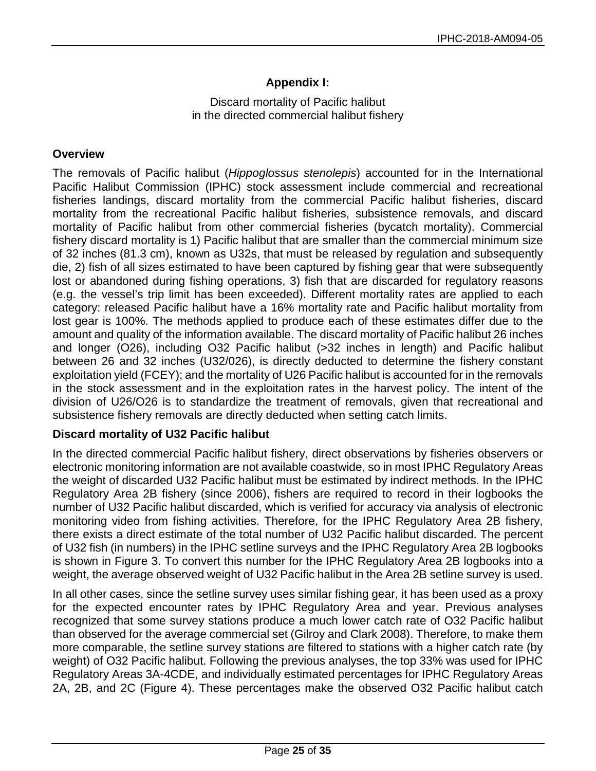# **Appendix I:**

Discard mortality of Pacific halibut in the directed commercial halibut fishery

### <span id="page-24-0"></span>**Overview**

The removals of Pacific halibut (*Hippoglossus stenolepis*) accounted for in the International Pacific Halibut Commission (IPHC) stock assessment include commercial and recreational fisheries landings, discard mortality from the commercial Pacific halibut fisheries, discard mortality from the recreational Pacific halibut fisheries, subsistence removals, and discard mortality of Pacific halibut from other commercial fisheries (bycatch mortality). Commercial fishery discard mortality is 1) Pacific halibut that are smaller than the commercial minimum size of 32 inches (81.3 cm), known as U32s, that must be released by regulation and subsequently die, 2) fish of all sizes estimated to have been captured by fishing gear that were subsequently lost or abandoned during fishing operations, 3) fish that are discarded for regulatory reasons (e.g. the vessel's trip limit has been exceeded). Different mortality rates are applied to each category: released Pacific halibut have a 16% mortality rate and Pacific halibut mortality from lost gear is 100%. The methods applied to produce each of these estimates differ due to the amount and quality of the information available. The discard mortality of Pacific halibut 26 inches and longer (O26), including O32 Pacific halibut (>32 inches in length) and Pacific halibut between 26 and 32 inches (U32/026), is directly deducted to determine the fishery constant exploitation yield (FCEY); and the mortality of U26 Pacific halibut is accounted for in the removals in the stock assessment and in the exploitation rates in the harvest policy. The intent of the division of U26/O26 is to standardize the treatment of removals, given that recreational and subsistence fishery removals are directly deducted when setting catch limits.

### **Discard mortality of U32 Pacific halibut**

In the directed commercial Pacific halibut fishery, direct observations by fisheries observers or electronic monitoring information are not available coastwide, so in most IPHC Regulatory Areas the weight of discarded U32 Pacific halibut must be estimated by indirect methods. In the IPHC Regulatory Area 2B fishery (since 2006), fishers are required to record in their logbooks the number of U32 Pacific halibut discarded, which is verified for accuracy via analysis of electronic monitoring video from fishing activities. Therefore, for the IPHC Regulatory Area 2B fishery, there exists a direct estimate of the total number of U32 Pacific halibut discarded. The percent of U32 fish (in numbers) in the IPHC setline surveys and the IPHC Regulatory Area 2B logbooks is shown in Figure 3. To convert this number for the IPHC Regulatory Area 2B logbooks into a weight, the average observed weight of U32 Pacific halibut in the Area 2B setline survey is used.

In all other cases, since the setline survey uses similar fishing gear, it has been used as a proxy for the expected encounter rates by IPHC Regulatory Area and year. Previous analyses recognized that some survey stations produce a much lower catch rate of O32 Pacific halibut than observed for the average commercial set (Gilroy and Clark 2008). Therefore, to make them more comparable, the setline survey stations are filtered to stations with a higher catch rate (by weight) of O32 Pacific halibut. Following the previous analyses, the top 33% was used for IPHC Regulatory Areas 3A-4CDE, and individually estimated percentages for IPHC Regulatory Areas 2A, 2B, and 2C (Figure 4). These percentages make the observed O32 Pacific halibut catch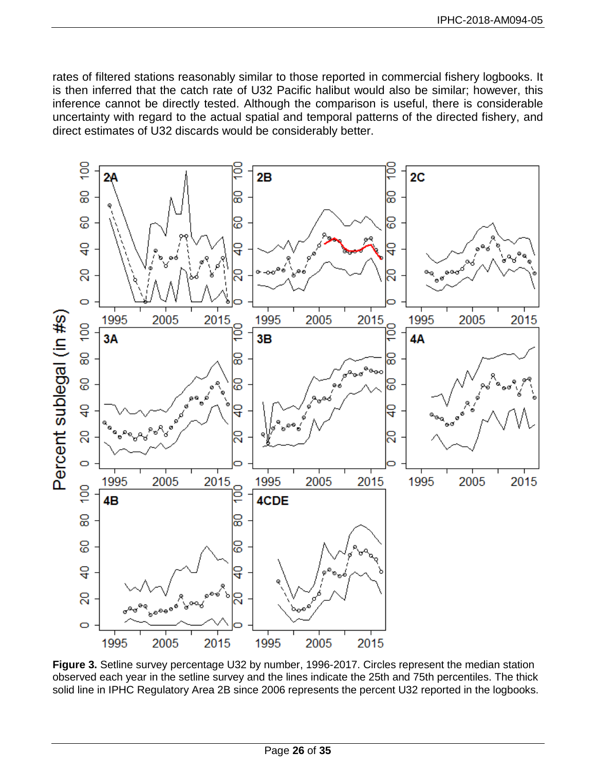rates of filtered stations reasonably similar to those reported in commercial fishery logbooks. It is then inferred that the catch rate of U32 Pacific halibut would also be similar; however, this inference cannot be directly tested. Although the comparison is useful, there is considerable uncertainty with regard to the actual spatial and temporal patterns of the directed fishery, and direct estimates of U32 discards would be considerably better.



**Figure 3.** Setline survey percentage U32 by number, 1996-2017. Circles represent the median station observed each year in the setline survey and the lines indicate the 25th and 75th percentiles. The thick solid line in IPHC Regulatory Area 2B since 2006 represents the percent U32 reported in the logbooks.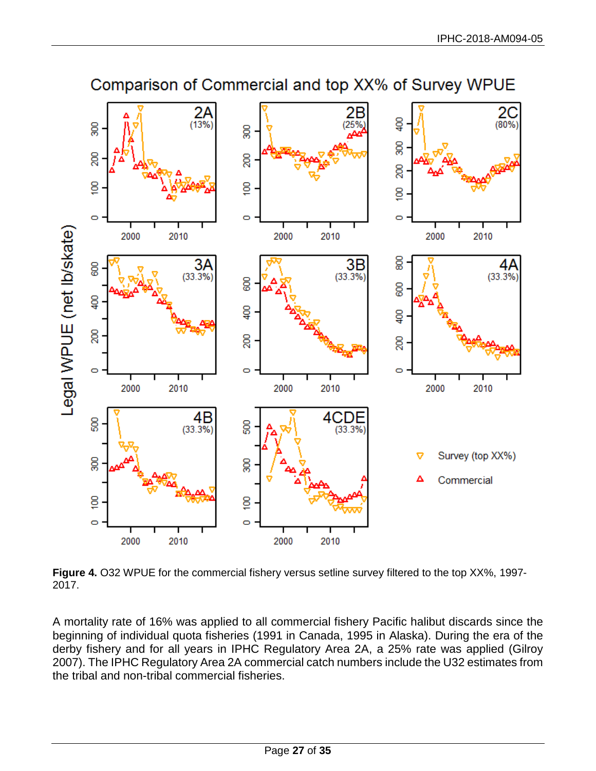

Comparison of Commercial and top XX% of Survey WPUE

**Figure 4.** O32 WPUE for the commercial fishery versus setline survey filtered to the top XX%, 1997- 2017.

A mortality rate of 16% was applied to all commercial fishery Pacific halibut discards since the beginning of individual quota fisheries (1991 in Canada, 1995 in Alaska). During the era of the derby fishery and for all years in IPHC Regulatory Area 2A, a 25% rate was applied (Gilroy 2007). The IPHC Regulatory Area 2A commercial catch numbers include the U32 estimates from the tribal and non-tribal commercial fisheries.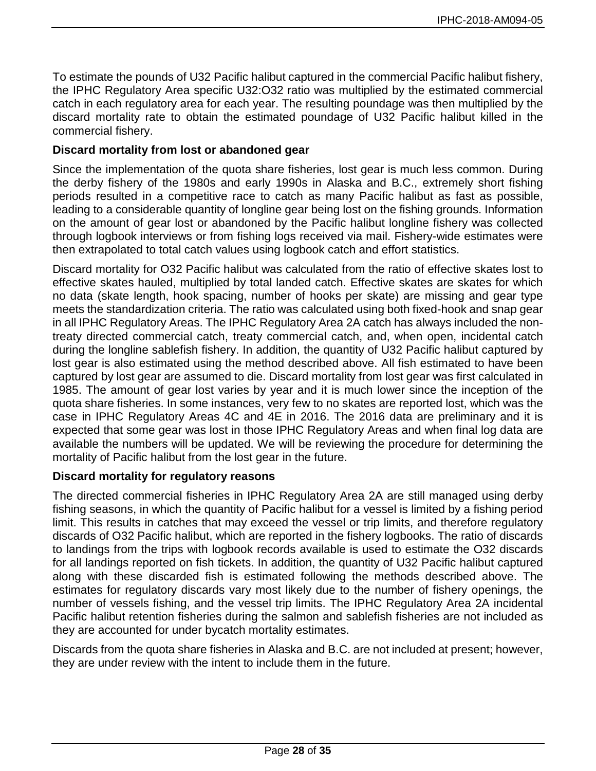To estimate the pounds of U32 Pacific halibut captured in the commercial Pacific halibut fishery, the IPHC Regulatory Area specific U32:O32 ratio was multiplied by the estimated commercial catch in each regulatory area for each year. The resulting poundage was then multiplied by the discard mortality rate to obtain the estimated poundage of U32 Pacific halibut killed in the commercial fishery.

## **Discard mortality from lost or abandoned gear**

Since the implementation of the quota share fisheries, lost gear is much less common. During the derby fishery of the 1980s and early 1990s in Alaska and B.C., extremely short fishing periods resulted in a competitive race to catch as many Pacific halibut as fast as possible, leading to a considerable quantity of longline gear being lost on the fishing grounds. Information on the amount of gear lost or abandoned by the Pacific halibut longline fishery was collected through logbook interviews or from fishing logs received via mail. Fishery-wide estimates were then extrapolated to total catch values using logbook catch and effort statistics.

Discard mortality for O32 Pacific halibut was calculated from the ratio of effective skates lost to effective skates hauled, multiplied by total landed catch. Effective skates are skates for which no data (skate length, hook spacing, number of hooks per skate) are missing and gear type meets the standardization criteria. The ratio was calculated using both fixed-hook and snap gear in all IPHC Regulatory Areas. The IPHC Regulatory Area 2A catch has always included the nontreaty directed commercial catch, treaty commercial catch, and, when open, incidental catch during the longline sablefish fishery. In addition, the quantity of U32 Pacific halibut captured by lost gear is also estimated using the method described above. All fish estimated to have been captured by lost gear are assumed to die. Discard mortality from lost gear was first calculated in 1985. The amount of gear lost varies by year and it is much lower since the inception of the quota share fisheries. In some instances, very few to no skates are reported lost, which was the case in IPHC Regulatory Areas 4C and 4E in 2016. The 2016 data are preliminary and it is expected that some gear was lost in those IPHC Regulatory Areas and when final log data are available the numbers will be updated. We will be reviewing the procedure for determining the mortality of Pacific halibut from the lost gear in the future.

### **Discard mortality for regulatory reasons**

The directed commercial fisheries in IPHC Regulatory Area 2A are still managed using derby fishing seasons, in which the quantity of Pacific halibut for a vessel is limited by a fishing period limit. This results in catches that may exceed the vessel or trip limits, and therefore regulatory discards of O32 Pacific halibut, which are reported in the fishery logbooks. The ratio of discards to landings from the trips with logbook records available is used to estimate the O32 discards for all landings reported on fish tickets. In addition, the quantity of U32 Pacific halibut captured along with these discarded fish is estimated following the methods described above. The estimates for regulatory discards vary most likely due to the number of fishery openings, the number of vessels fishing, and the vessel trip limits. The IPHC Regulatory Area 2A incidental Pacific halibut retention fisheries during the salmon and sablefish fisheries are not included as they are accounted for under bycatch mortality estimates.

Discards from the quota share fisheries in Alaska and B.C. are not included at present; however, they are under review with the intent to include them in the future.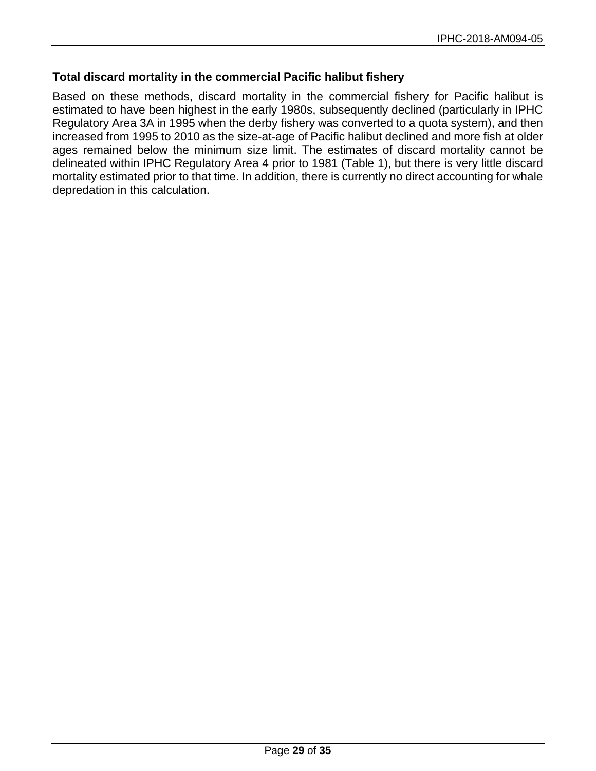# **Total discard mortality in the commercial Pacific halibut fishery**

Based on these methods, discard mortality in the commercial fishery for Pacific halibut is estimated to have been highest in the early 1980s, subsequently declined (particularly in IPHC Regulatory Area 3A in 1995 when the derby fishery was converted to a quota system), and then increased from 1995 to 2010 as the size-at-age of Pacific halibut declined and more fish at older ages remained below the minimum size limit. The estimates of discard mortality cannot be delineated within IPHC Regulatory Area 4 prior to 1981 (Table 1), but there is very little discard mortality estimated prior to that time. In addition, there is currently no direct accounting for whale depredation in this calculation.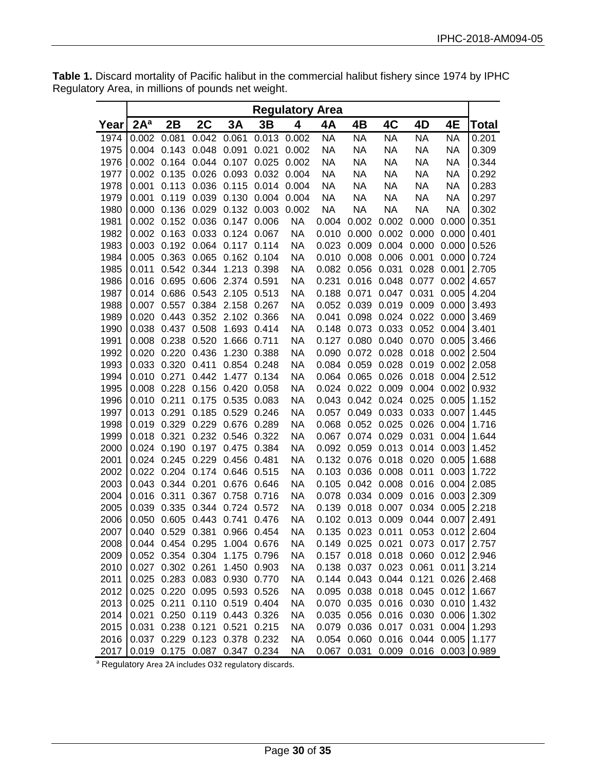|       | <b>Regulatory Area</b> |                   |             |                               |             |             |           |                         |             |                                               |             |       |
|-------|------------------------|-------------------|-------------|-------------------------------|-------------|-------------|-----------|-------------------------|-------------|-----------------------------------------------|-------------|-------|
| Year∣ | 2A <sup>a</sup>        | 2B                | 2C          | 3A                            | 3B          | 4           | 4Α        | 4B                      | 4C          | 4D                                            | 4E          | Total |
| 1974  | 0.002 0.081            |                   | 0.042       | 0.061                         |             | 0.013 0.002 | <b>NA</b> | <b>NA</b>               | <b>NA</b>   | <b>NA</b>                                     | <b>NA</b>   | 0.201 |
| 1975  |                        | 0.004 0.143       | 0.048 0.091 |                               | 0.021       | 0.002       | <b>NA</b> | <b>NA</b>               | <b>NA</b>   | <b>NA</b>                                     | <b>NA</b>   | 0.309 |
| 1976  |                        | 0.002 0.164 0.044 |             | 0.107                         | 0.025       | 0.002       | <b>NA</b> | <b>NA</b>               | <b>NA</b>   | <b>NA</b>                                     | <b>NA</b>   | 0.344 |
| 1977  |                        | 0.002 0.135 0.026 |             | 0.093                         | 0.032 0.004 |             | <b>NA</b> | <b>NA</b>               | <b>NA</b>   | <b>NA</b>                                     | <b>NA</b>   | 0.292 |
| 1978  | 0.001                  |                   | 0.113 0.036 | 0.115 0.014                   |             | 0.004       | <b>NA</b> | <b>NA</b>               | <b>NA</b>   | <b>NA</b>                                     | <b>NA</b>   | 0.283 |
| 1979  | 0.001                  |                   | 0.119 0.039 | 0.130 0.004                   |             | 0.004       | <b>NA</b> | <b>NA</b>               | <b>NA</b>   | <b>NA</b>                                     | <b>NA</b>   | 0.297 |
| 1980  |                        | 0.000 0.136 0.029 |             | 0.132 0.003                   |             | 0.002       | <b>NA</b> | <b>NA</b>               | <b>NA</b>   | <b>NA</b>                                     | <b>NA</b>   | 0.302 |
| 1981  |                        | 0.002 0.152 0.036 |             | 0.147 0.006                   |             | <b>NA</b>   | 0.004     | 0.002                   | 0.002       | 0.000                                         | 0.000       | 0.351 |
| 1982  |                        | 0.002 0.163 0.033 |             | 0.124 0.067                   |             | NA          |           | 0.010 0.000 0.002       |             | 0.000                                         | 0.000       | 0.401 |
| 1983  |                        | 0.003 0.192 0.064 |             | 0.117                         | 0.114       | <b>NA</b>   | 0.023     | 0.009                   | 0.004       | 0.000                                         | 0.000       | 0.526 |
| 1984  | 0.005                  | 0.363             | 0.065       | 0.162                         | 0.104       | <b>NA</b>   | 0.010     | 0.008                   | 0.006       | 0.001                                         | 0.000       | 0.724 |
| 1985  | 0.011                  | 0.542 0.344       |             | 1.213                         | 0.398       | <b>NA</b>   | 0.082     | 0.056                   | 0.031       | 0.028                                         | 0.001       | 2.705 |
| 1986  | 0.016                  | 0.695             | 0.606       | 2.374                         | 0.591       | <b>NA</b>   | 0.231     | 0.016                   | 0.048       | 0.077                                         | 0.002       | 4.657 |
| 1987  | 0.014                  | 0.686             | 0.543       | 2.105                         | 0.513       | NA          | 0.188     | 0.071                   | 0.047       | 0.031                                         | 0.005       | 4.204 |
| 1988  | 0.007                  | 0.557             | 0.384       | 2.158                         | 0.267       | <b>NA</b>   | 0.052     | 0.039                   | 0.019       | 0.009                                         | 0.000       | 3.493 |
| 1989  | 0.020                  | 0.443             |             | 0.352 2.102                   | 0.366       | NА          | 0.041     | 0.098                   | 0.024       | 0.022                                         | 0.000       | 3.469 |
| 1990  | 0.038                  | 0.437             | 0.508       | 1.693                         | 0.414       | NА          | 0.148     | 0.073                   | 0.033       | 0.052                                         | 0.004       | 3.401 |
| 1991  | 0.008                  | 0.238             | 0.520       | 1.666                         | 0.711       | NА          | 0.127     |                         | 0.080 0.040 | 0.070                                         | 0.005       | 3.466 |
| 1992  | 0.020                  | 0.220             | 0.436       | 1.230                         | 0.388       | NА          |           | 0.090 0.072 0.028       |             | 0.018                                         | 0.002       | 2.504 |
| 1993  |                        | 0.033 0.320       | 0.411       | 0.854                         | 0.248       | <b>NA</b>   |           | 0.084 0.059 0.028       |             | 0.019                                         | 0.002       | 2.058 |
| 1994  | 0.010                  | 0.271             | 0.442       | 1.477 0.134                   |             | NA          |           | 0.064 0.065 0.026       |             | 0.018                                         | 0.004       | 2.512 |
| 1995  |                        | 0.008 0.228 0.156 |             | 0.420                         | 0.058       | NA          |           | 0.024 0.022 0.009       |             | 0.004                                         | 0.002       | 0.932 |
| 1996  | 0.010                  | 0.211             | 0.175       | 0.535                         | 0.083       | NA          |           | 0.043 0.042 0.024       |             | 0.025                                         | 0.005       | 1.152 |
| 1997  | 0.013                  | 0.291             | 0.185       | 0.529                         | 0.246       | ΝA          |           | 0.057 0.049 0.033       |             | 0.033                                         | 0.007       | 1.445 |
| 1998  | 0.019                  | 0.329 0.229       |             | 0.676 0.289                   |             | <b>NA</b>   | 0.068     | 0.052 0.025             |             | 0.026                                         | 0.004       | 1.716 |
| 1999  |                        | 0.018 0.321       |             | 0.232 0.546 0.322             |             | ΝA          |           | 0.067 0.074 0.029       |             | 0.031                                         | 0.004       | 1.644 |
| 2000  |                        |                   |             | 0.024 0.190 0.197 0.475 0.384 |             | <b>NA</b>   |           | 0.092 0.059 0.013       |             | 0.014                                         | 0.003       | 1.452 |
| 2001  |                        | 0.024 0.245 0.229 |             | 0.456 0.481                   |             | <b>NA</b>   |           | 0.132 0.076             |             | 0.018 0.020                                   | 0.005       | 1.688 |
| 2002  |                        |                   |             | 0.022 0.204 0.174 0.646       | 0.515       | <b>NA</b>   |           | 0.103 0.036 0.008 0.011 |             |                                               | 0.003       | 1.722 |
| 2003  |                        | 0.043 0.344 0.201 |             | 0.676                         | 0.646       | NA          |           | 0.105 0.042 0.008       |             | 0.016                                         | 0.004       | 2.085 |
| 2004  | 0.016                  | 0.311             | 0.367       | 0.758                         | 0.716       | NА          |           | 0.078 0.034 0.009       |             | 0.016                                         | 0.003       | 2.309 |
| 2005  | 0.039                  | 0.335             | 0.344       | 0.724                         | 0.572       | <b>NA</b>   |           | 0.139 0.018             | 0.007       | 0.034                                         | 0.005       | 2.218 |
| 2006  | 0.050                  | 0.605 0.443       |             | 0.741                         | 0.476       | <b>NA</b>   |           | 0.102 0.013 0.009       |             | 0.044                                         | 0.007       | 2.491 |
| 2007  | 0.040                  | 0.529             | 0.381       | 0.966                         | 0.454       | <b>NA</b>   |           | 0.135 0.023 0.011       |             |                                               | 0.053 0.012 | 2.604 |
| 2008  |                        | 0.044 0.454 0.295 |             | 1.004 0.676                   |             | NА          |           |                         |             | 0.149 0.025 0.021 0.073 0.017                 |             | 2.757 |
| 2009  |                        | 0.052 0.354 0.304 |             |                               | 1.175 0.796 | NА          |           |                         |             | 0.157 0.018 0.018 0.060                       | 0.012       | 2.946 |
| 2010  |                        | 0.027 0.302 0.261 |             |                               | 1.450 0.903 | NА          |           | 0.138 0.037 0.023 0.061 |             |                                               | 0.011       | 3.214 |
| 2011  |                        | 0.025 0.283 0.083 |             | 0.930 0.770                   |             | NА          |           | 0.144 0.043 0.044 0.121 |             |                                               | 0.026       | 2.468 |
| 2012  |                        | 0.025 0.220 0.095 |             | 0.593 0.526                   |             | NА          |           |                         |             | 0.095 0.038 0.018 0.045                       | 0.012       | 1.667 |
| 2013  |                        | 0.025 0.211       |             | 0.110 0.519 0.404             |             | NА          |           |                         |             | 0.070 0.035 0.016 0.030                       | 0.010       | 1.432 |
| 2014  | 0.021                  |                   |             | 0.250 0.119 0.443 0.326       |             | NА          |           |                         |             | 0.035 0.056 0.016 0.030                       | 0.006       | 1.302 |
| 2015  | 0.031                  | 0.238 0.121       |             | 0.521 0.215                   |             | ΝA          |           |                         |             | 0.079 0.036 0.017 0.031                       | 0.004       | 1.293 |
| 2016  |                        |                   |             | 0.037 0.229 0.123 0.378 0.232 |             | NА          |           |                         |             | 0.054 0.060 0.016 0.044 0.005                 |             | 1.177 |
| 2017  |                        |                   |             | 0.019 0.175 0.087 0.347 0.234 |             | <b>NA</b>   |           |                         |             | $0.067$ $0.031$ $0.009$ $0.016$ $0.003$ 0.989 |             |       |

**Table 1.** Discard mortality of Pacific halibut in the commercial halibut fishery since 1974 by IPHC Regulatory Area, in millions of pounds net weight.

a Regulatory Area 2A includes O32 regulatory discards.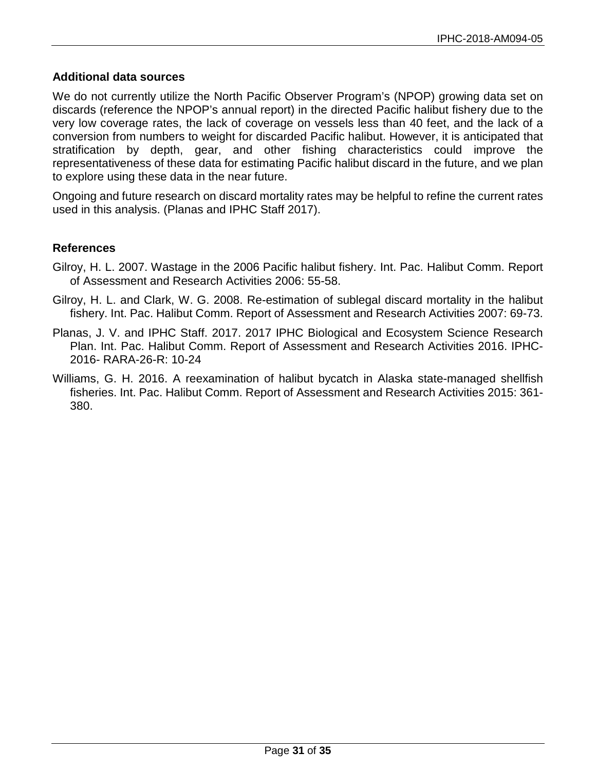## **Additional data sources**

We do not currently utilize the North Pacific Observer Program's (NPOP) growing data set on discards (reference the NPOP's annual report) in the directed Pacific halibut fishery due to the very low coverage rates, the lack of coverage on vessels less than 40 feet, and the lack of a conversion from numbers to weight for discarded Pacific halibut. However, it is anticipated that stratification by depth, gear, and other fishing characteristics could improve the representativeness of these data for estimating Pacific halibut discard in the future, and we plan to explore using these data in the near future.

Ongoing and future research on discard mortality rates may be helpful to refine the current rates used in this analysis. (Planas and IPHC Staff 2017).

## **References**

- Gilroy, H. L. 2007. Wastage in the 2006 Pacific halibut fishery. Int. Pac. Halibut Comm. Report of Assessment and Research Activities 2006: 55-58.
- Gilroy, H. L. and Clark, W. G. 2008. Re-estimation of sublegal discard mortality in the halibut fishery. Int. Pac. Halibut Comm. Report of Assessment and Research Activities 2007: 69-73.
- Planas, J. V. and IPHC Staff. 2017. 2017 IPHC Biological and Ecosystem Science Research Plan. Int. Pac. Halibut Comm. Report of Assessment and Research Activities 2016. IPHC-2016- RARA-26-R: 10-24
- Williams, G. H. 2016. A reexamination of halibut bycatch in Alaska state-managed shellfish fisheries. Int. Pac. Halibut Comm. Report of Assessment and Research Activities 2015: 361- 380.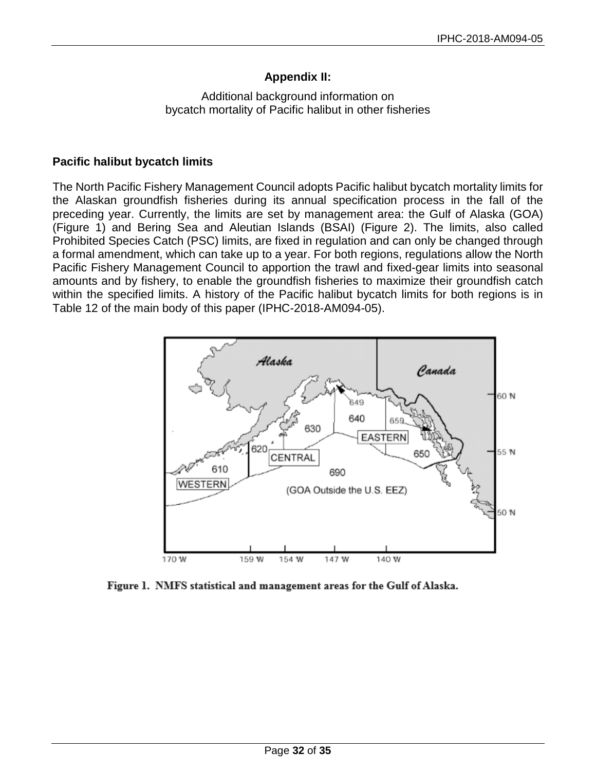# **Appendix II:**

# Additional background information on bycatch mortality of Pacific halibut in other fisheries

## <span id="page-31-0"></span>**Pacific halibut bycatch limits**

The North Pacific Fishery Management Council adopts Pacific halibut bycatch mortality limits for the Alaskan groundfish fisheries during its annual specification process in the fall of the preceding year. Currently, the limits are set by management area: the Gulf of Alaska (GOA) (Figure 1) and Bering Sea and Aleutian Islands (BSAI) (Figure 2). The limits, also called Prohibited Species Catch (PSC) limits, are fixed in regulation and can only be changed through a formal amendment, which can take up to a year. For both regions, regulations allow the North Pacific Fishery Management Council to apportion the trawl and fixed-gear limits into seasonal amounts and by fishery, to enable the groundfish fisheries to maximize their groundfish catch within the specified limits. A history of the Pacific halibut bycatch limits for both regions is in Table 12 of the main body of this paper (IPHC-2018-AM094-05).



Figure 1. NMFS statistical and management areas for the Gulf of Alaska.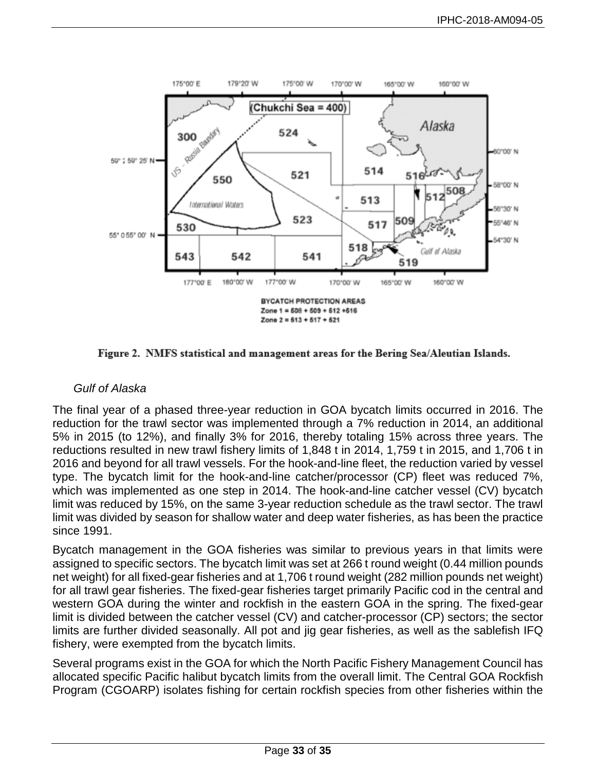

Figure 2. NMFS statistical and management areas for the Bering Sea/Aleutian Islands.

## *Gulf of Alaska*

The final year of a phased three-year reduction in GOA bycatch limits occurred in 2016. The reduction for the trawl sector was implemented through a 7% reduction in 2014, an additional 5% in 2015 (to 12%), and finally 3% for 2016, thereby totaling 15% across three years. The reductions resulted in new trawl fishery limits of 1,848 t in 2014, 1,759 t in 2015, and 1,706 t in 2016 and beyond for all trawl vessels. For the hook-and-line fleet, the reduction varied by vessel type. The bycatch limit for the hook-and-line catcher/processor (CP) fleet was reduced 7%, which was implemented as one step in 2014. The hook-and-line catcher vessel (CV) bycatch limit was reduced by 15%, on the same 3-year reduction schedule as the trawl sector. The trawl limit was divided by season for shallow water and deep water fisheries, as has been the practice since 1991.

Bycatch management in the GOA fisheries was similar to previous years in that limits were assigned to specific sectors. The bycatch limit was set at 266 t round weight (0.44 million pounds net weight) for all fixed-gear fisheries and at 1,706 t round weight (282 million pounds net weight) for all trawl gear fisheries. The fixed-gear fisheries target primarily Pacific cod in the central and western GOA during the winter and rockfish in the eastern GOA in the spring. The fixed-gear limit is divided between the catcher vessel (CV) and catcher-processor (CP) sectors; the sector limits are further divided seasonally. All pot and jig gear fisheries, as well as the sablefish IFQ fishery, were exempted from the bycatch limits.

Several programs exist in the GOA for which the North Pacific Fishery Management Council has allocated specific Pacific halibut bycatch limits from the overall limit. The Central GOA Rockfish Program (CGOARP) isolates fishing for certain rockfish species from other fisheries within the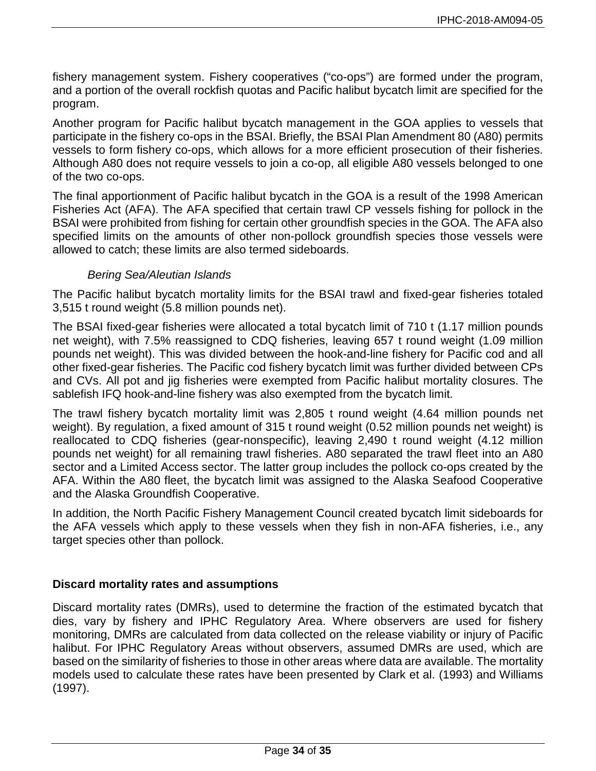fishery management system. Fishery cooperatives ("co-ops") are formed under the program, and a portion of the overall rockfish quotas and Pacific halibut bycatch limit are specified for the program.

Another program for Pacific halibut bycatch management in the GOA applies to vessels that participate in the fishery co-ops in the BSAI. Briefly, the BSAI Plan Amendment 80 (A80) permits vessels to form fishery co-ops, which allows for a more efficient prosecution of their fisheries. Although A80 does not require vessels to join a co-op, all eligible A80 vessels belonged to one of the two co-ops.

The final apportionment of Pacific halibut bycatch in the GOA is a result of the 1998 American Fisheries Act (AFA). The AFA specified that certain trawl CP vessels fishing for pollock in the BSAI were prohibited from fishing for certain other groundfish species in the GOA. The AFA also specified limits on the amounts of other non-pollock groundfish species those vessels were allowed to catch; these limits are also termed sideboards.

### *Bering Sea/Aleutian Islands*

The Pacific halibut bycatch mortality limits for the BSAI trawl and fixed-gear fisheries totaled 3,515 t round weight (5.8 million pounds net).

The BSAI fixed-gear fisheries were allocated a total bycatch limit of 710 t (1.17 million pounds net weight), with 7.5% reassigned to CDQ fisheries, leaving 657 t round weight (1.09 million pounds net weight). This was divided between the hook-and-line fishery for Pacific cod and all other fixed-gear fisheries. The Pacific cod fishery bycatch limit was further divided between CPs and CVs. All pot and jig fisheries were exempted from Pacific halibut mortality closures. The sablefish IFQ hook-and-line fishery was also exempted from the bycatch limit.

The trawl fishery bycatch mortality limit was 2,805 t round weight (4.64 million pounds net weight). By regulation, a fixed amount of 315 t round weight (0.52 million pounds net weight) is reallocated to CDQ fisheries (gear-nonspecific), leaving 2,490 t round weight (4.12 million pounds net weight) for all remaining trawl fisheries. A80 separated the trawl fleet into an A80 sector and a Limited Access sector. The latter group includes the pollock co-ops created by the AFA. Within the A80 fleet, the bycatch limit was assigned to the Alaska Seafood Cooperative and the Alaska Groundfish Cooperative.

In addition, the North Pacific Fishery Management Council created bycatch limit sideboards for the AFA vessels which apply to these vessels when they fish in non-AFA fisheries, i.e., any target species other than pollock.

### **Discard mortality rates and assumptions**

Discard mortality rates (DMRs), used to determine the fraction of the estimated bycatch that dies, vary by fishery and IPHC Regulatory Area. Where observers are used for fishery monitoring, DMRs are calculated from data collected on the release viability or injury of Pacific halibut. For IPHC Regulatory Areas without observers, assumed DMRs are used, which are based on the similarity of fisheries to those in other areas where data are available. The mortality models used to calculate these rates have been presented by Clark et al. (1993) and Williams (1997).